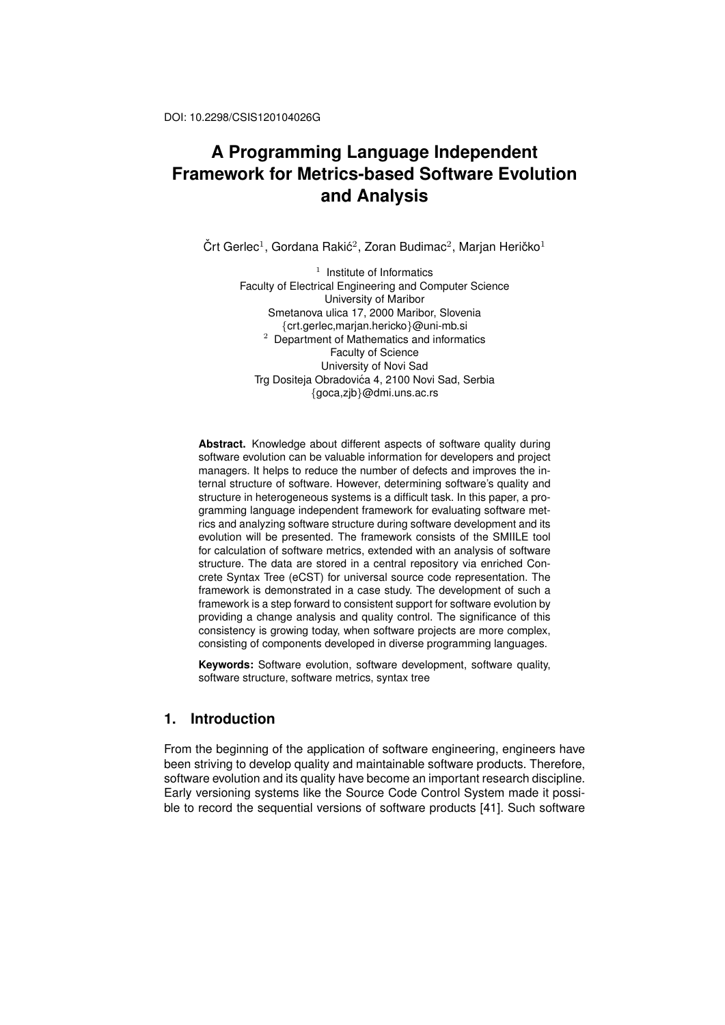# **A Programming Language Independent Framework for Metrics-based Software Evolution and Analysis**

Črt Gerlec<sup>1</sup>, Gordana Rakić<sup>2</sup>, Zoran Budimac<sup>2</sup>, Marjan Heričko<sup>1</sup>

<sup>1</sup> Institute of Informatics Faculty of Electrical Engineering and Computer Science University of Maribor Smetanova ulica 17, 2000 Maribor, Slovenia *{*crt.gerlec,marjan.hericko*}*@uni-mb.si <sup>2</sup> Department of Mathematics and informatics Faculty of Science University of Novi Sad Trg Dositeja Obradovića 4, 2100 Novi Sad, Serbia *{*goca,zjb*}*@dmi.uns.ac.rs

**Abstract.** Knowledge about different aspects of software quality during software evolution can be valuable information for developers and project managers. It helps to reduce the number of defects and improves the internal structure of software. However, determining software's quality and structure in heterogeneous systems is a difficult task. In this paper, a programming language independent framework for evaluating software metrics and analyzing software structure during software development and its evolution will be presented. The framework consists of the SMIILE tool for calculation of software metrics, extended with an analysis of software structure. The data are stored in a central repository via enriched Concrete Syntax Tree (eCST) for universal source code representation. The framework is demonstrated in a case study. The development of such a framework is a step forward to consistent support for software evolution by providing a change analysis and quality control. The significance of this consistency is growing today, when software projects are more complex, consisting of components developed in diverse programming languages.

**Keywords:** Software evolution, software development, software quality, software structure, software metrics, syntax tree

### **1. Introduction**

From the beginning of the application of software engineering, engineers have been striving to develop quality and maintainable software products. Therefore, software evolution and its quality have become an important research discipline. Early versioning systems like the Source Code Control System made it possible to record the sequential versions of software products [41]. Such software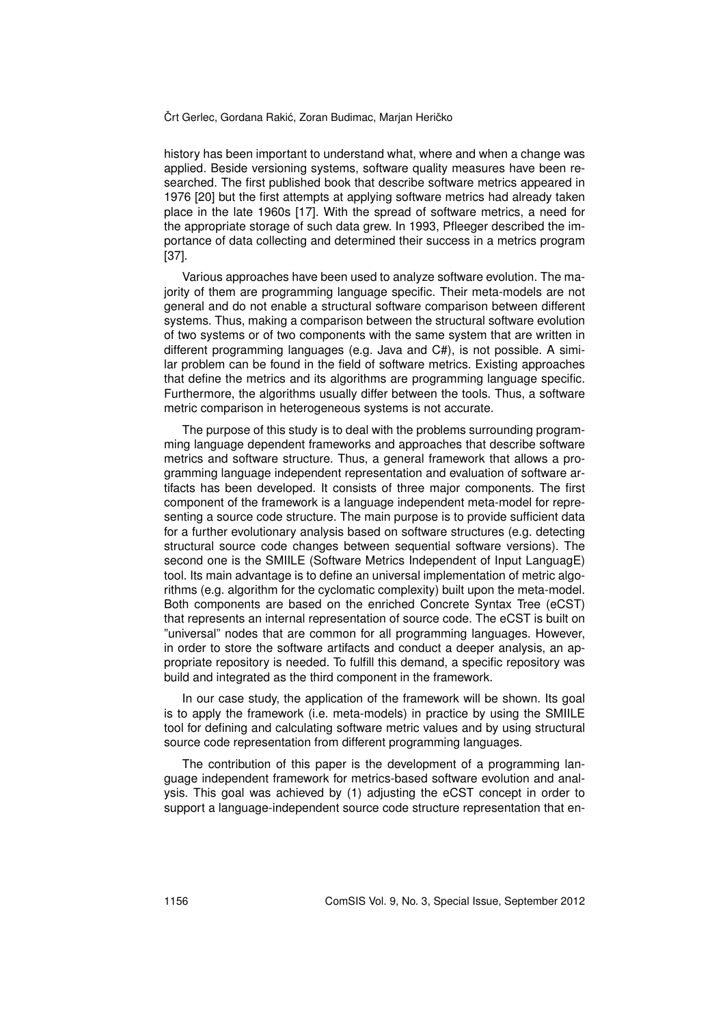history has been important to understand what, where and when a change was applied. Beside versioning systems, software quality measures have been researched. The first published book that describe software metrics appeared in 1976 [20] but the first attempts at applying software metrics had already taken place in the late 1960s [17]. With the spread of software metrics, a need for the appropriate storage of such data grew. In 1993, Pfleeger described the importance of data collecting and determined their success in a metrics program [37].

Various approaches have been used to analyze software evolution. The majority of them are programming language specific. Their meta-models are not general and do not enable a structural software comparison between different systems. Thus, making a comparison between the structural software evolution of two systems or of two components with the same system that are written in different programming languages (e.g. Java and C#), is not possible. A similar problem can be found in the field of software metrics. Existing approaches that define the metrics and its algorithms are programming language specific. Furthermore, the algorithms usually differ between the tools. Thus, a software metric comparison in heterogeneous systems is not accurate.

The purpose of this study is to deal with the problems surrounding programming language dependent frameworks and approaches that describe software metrics and software structure. Thus, a general framework that allows a programming language independent representation and evaluation of software artifacts has been developed. It consists of three major components. The first component of the framework is a language independent meta-model for representing a source code structure. The main purpose is to provide sufficient data for a further evolutionary analysis based on software structures (e.g. detecting structural source code changes between sequential software versions). The second one is the SMIILE (Software Metrics Independent of Input LanguagE) tool. Its main advantage is to define an universal implementation of metric algorithms (e.g. algorithm for the cyclomatic complexity) built upon the meta-model. Both components are based on the enriched Concrete Syntax Tree (eCST) that represents an internal representation of source code. The eCST is built on "universal" nodes that are common for all programming languages. However, in order to store the software artifacts and conduct a deeper analysis, an appropriate repository is needed. To fulfill this demand, a specific repository was build and integrated as the third component in the framework.

In our case study, the application of the framework will be shown. Its goal is to apply the framework (i.e. meta-models) in practice by using the SMIILE tool for defining and calculating software metric values and by using structural source code representation from different programming languages.

The contribution of this paper is the development of a programming language independent framework for metrics-based software evolution and analysis. This goal was achieved by (1) adjusting the eCST concept in order to support a language-independent source code structure representation that en-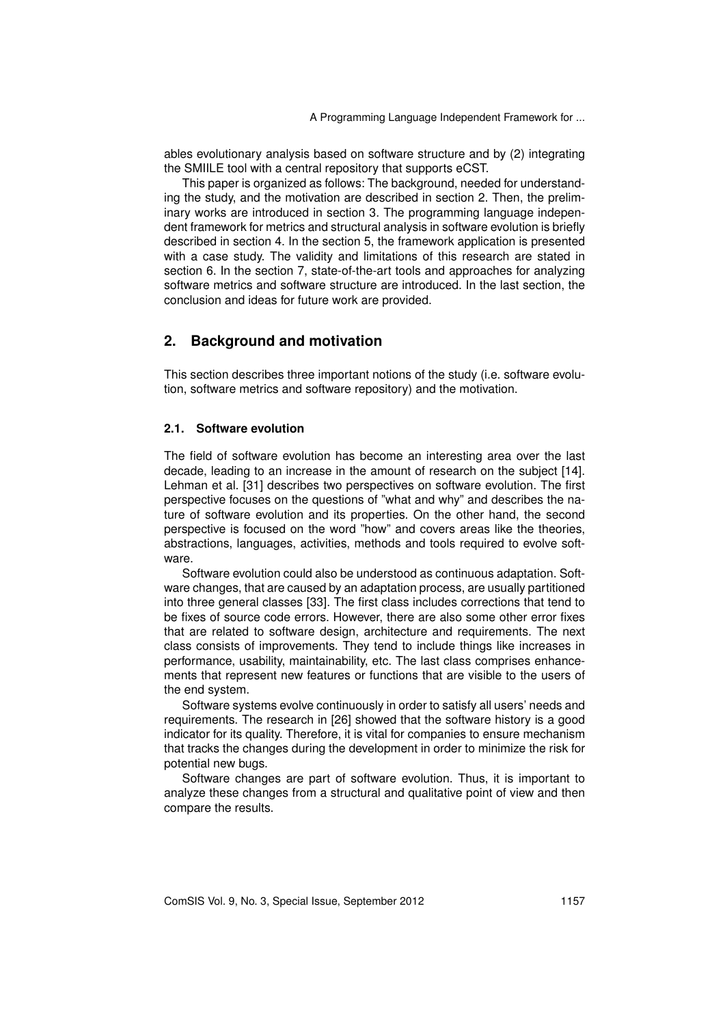ables evolutionary analysis based on software structure and by (2) integrating the SMIILE tool with a central repository that supports eCST.

This paper is organized as follows: The background, needed for understanding the study, and the motivation are described in section 2. Then, the preliminary works are introduced in section 3. The programming language independent framework for metrics and structural analysis in software evolution is briefly described in section 4. In the section 5, the framework application is presented with a case study. The validity and limitations of this research are stated in section 6. In the section 7, state-of-the-art tools and approaches for analyzing software metrics and software structure are introduced. In the last section, the conclusion and ideas for future work are provided.

### **2. Background and motivation**

This section describes three important notions of the study (i.e. software evolution, software metrics and software repository) and the motivation.

#### **2.1. Software evolution**

The field of software evolution has become an interesting area over the last decade, leading to an increase in the amount of research on the subject [14]. Lehman et al. [31] describes two perspectives on software evolution. The first perspective focuses on the questions of "what and why" and describes the nature of software evolution and its properties. On the other hand, the second perspective is focused on the word "how" and covers areas like the theories, abstractions, languages, activities, methods and tools required to evolve software.

Software evolution could also be understood as continuous adaptation. Software changes, that are caused by an adaptation process, are usually partitioned into three general classes [33]. The first class includes corrections that tend to be fixes of source code errors. However, there are also some other error fixes that are related to software design, architecture and requirements. The next class consists of improvements. They tend to include things like increases in performance, usability, maintainability, etc. The last class comprises enhancements that represent new features or functions that are visible to the users of the end system.

Software systems evolve continuously in order to satisfy all users' needs and requirements. The research in [26] showed that the software history is a good indicator for its quality. Therefore, it is vital for companies to ensure mechanism that tracks the changes during the development in order to minimize the risk for potential new bugs.

Software changes are part of software evolution. Thus, it is important to analyze these changes from a structural and qualitative point of view and then compare the results.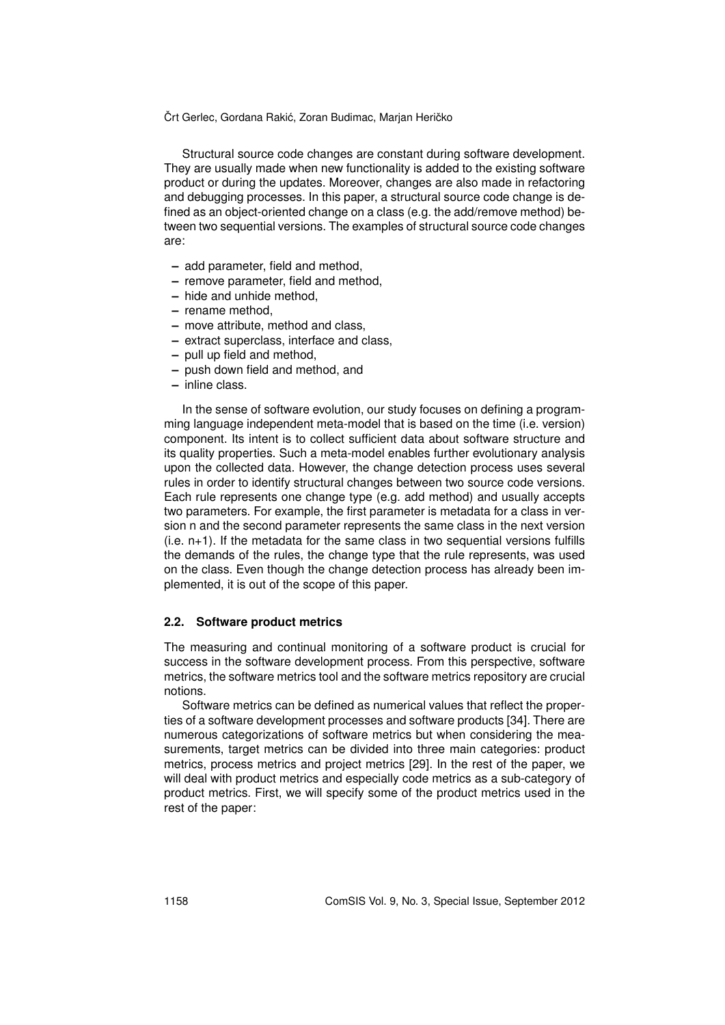Structural source code changes are constant during software development. They are usually made when new functionality is added to the existing software product or during the updates. Moreover, changes are also made in refactoring and debugging processes. In this paper, a structural source code change is defined as an object-oriented change on a class (e.g. the add/remove method) between two sequential versions. The examples of structural source code changes are:

- **–** add parameter, field and method,
- **–** remove parameter, field and method,
- **–** hide and unhide method,
- **–** rename method,
- **–** move attribute, method and class,
- **–** extract superclass, interface and class,
- **–** pull up field and method,
- **–** push down field and method, and
- **–** inline class.

In the sense of software evolution, our study focuses on defining a programming language independent meta-model that is based on the time (i.e. version) component. Its intent is to collect sufficient data about software structure and its quality properties. Such a meta-model enables further evolutionary analysis upon the collected data. However, the change detection process uses several rules in order to identify structural changes between two source code versions. Each rule represents one change type (e.g. add method) and usually accepts two parameters. For example, the first parameter is metadata for a class in version n and the second parameter represents the same class in the next version (i.e. n+1). If the metadata for the same class in two sequential versions fulfills the demands of the rules, the change type that the rule represents, was used on the class. Even though the change detection process has already been implemented, it is out of the scope of this paper.

#### **2.2. Software product metrics**

The measuring and continual monitoring of a software product is crucial for success in the software development process. From this perspective, software metrics, the software metrics tool and the software metrics repository are crucial notions.

Software metrics can be defined as numerical values that reflect the properties of a software development processes and software products [34]. There are numerous categorizations of software metrics but when considering the measurements, target metrics can be divided into three main categories: product metrics, process metrics and project metrics [29]. In the rest of the paper, we will deal with product metrics and especially code metrics as a sub-category of product metrics. First, we will specify some of the product metrics used in the rest of the paper: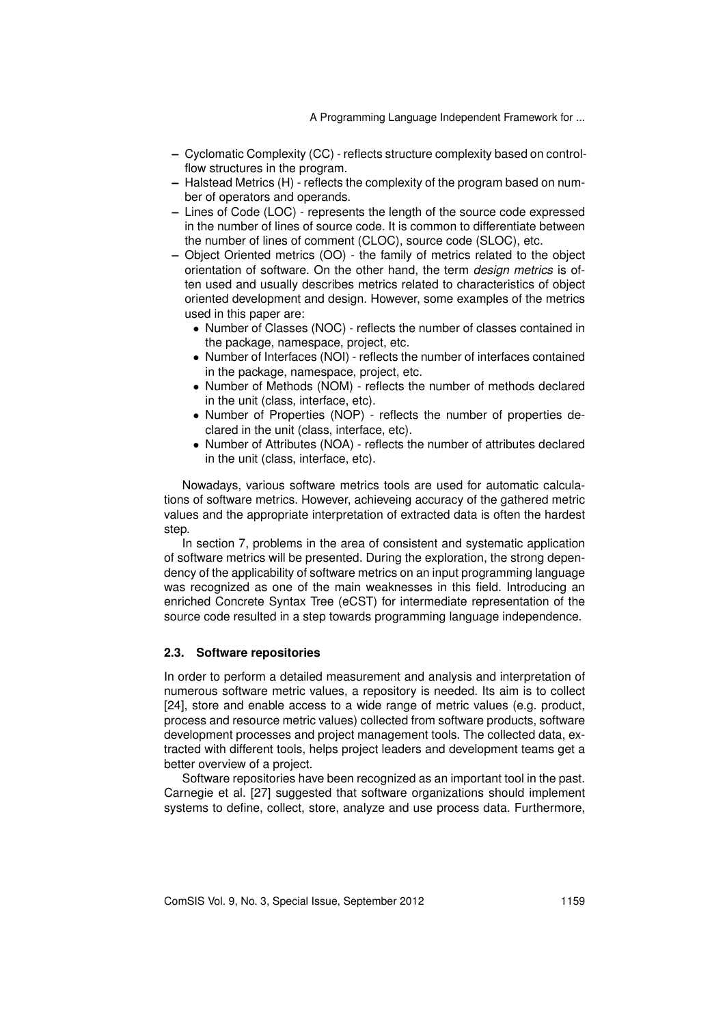- **–** Cyclomatic Complexity (CC) reflects structure complexity based on controlflow structures in the program.
- **–** Halstead Metrics (H) reflects the complexity of the program based on number of operators and operands.
- **–** Lines of Code (LOC) represents the length of the source code expressed in the number of lines of source code. It is common to differentiate between the number of lines of comment (CLOC), source code (SLOC), etc.
- **–** Object Oriented metrics (OO) the family of metrics related to the object orientation of software. On the other hand, the term *design metrics* is often used and usually describes metrics related to characteristics of object oriented development and design. However, some examples of the metrics used in this paper are:
	- *•* Number of Classes (NOC) reflects the number of classes contained in the package, namespace, project, etc.
	- *•* Number of Interfaces (NOI) reflects the number of interfaces contained in the package, namespace, project, etc.
	- *•* Number of Methods (NOM) reflects the number of methods declared in the unit (class, interface, etc).
	- *•* Number of Properties (NOP) reflects the number of properties declared in the unit (class, interface, etc).
	- *•* Number of Attributes (NOA) reflects the number of attributes declared in the unit (class, interface, etc).

Nowadays, various software metrics tools are used for automatic calculations of software metrics. However, achieveing accuracy of the gathered metric values and the appropriate interpretation of extracted data is often the hardest step.

In section 7, problems in the area of consistent and systematic application of software metrics will be presented. During the exploration, the strong dependency of the applicability of software metrics on an input programming language was recognized as one of the main weaknesses in this field. Introducing an enriched Concrete Syntax Tree (eCST) for intermediate representation of the source code resulted in a step towards programming language independence.

#### **2.3. Software repositories**

In order to perform a detailed measurement and analysis and interpretation of numerous software metric values, a repository is needed. Its aim is to collect [24], store and enable access to a wide range of metric values (e.g. product, process and resource metric values) collected from software products, software development processes and project management tools. The collected data, extracted with different tools, helps project leaders and development teams get a better overview of a project.

Software repositories have been recognized as an important tool in the past. Carnegie et al. [27] suggested that software organizations should implement systems to define, collect, store, analyze and use process data. Furthermore,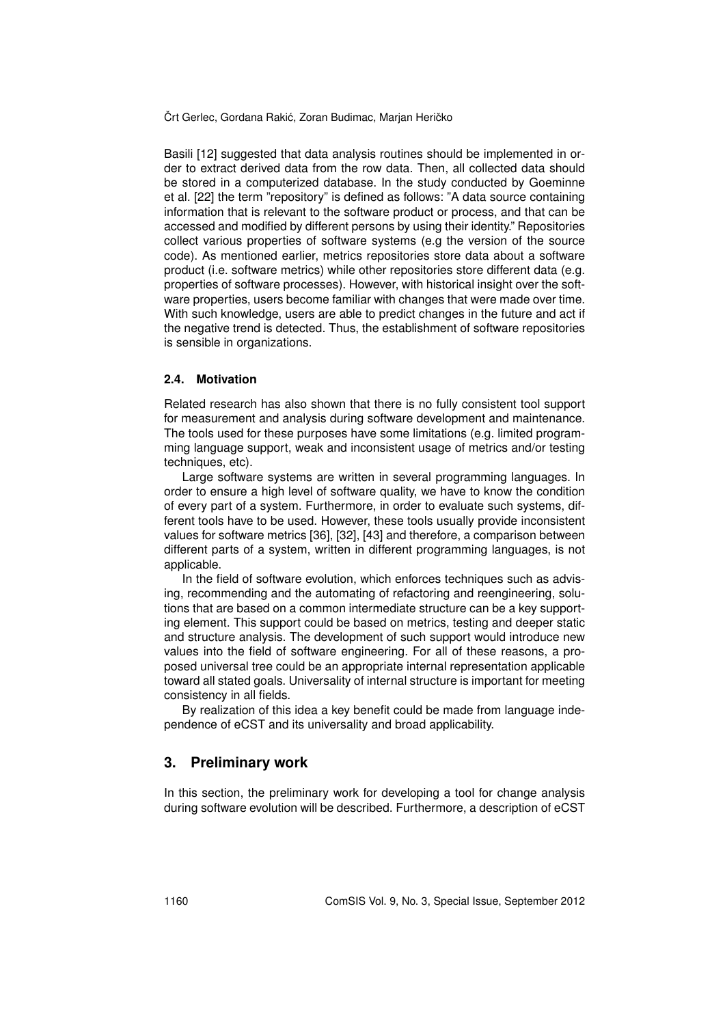Basili [12] suggested that data analysis routines should be implemented in order to extract derived data from the row data. Then, all collected data should be stored in a computerized database. In the study conducted by Goeminne et al. [22] the term "repository" is defined as follows: "A data source containing information that is relevant to the software product or process, and that can be accessed and modified by different persons by using their identity." Repositories collect various properties of software systems (e.g the version of the source code). As mentioned earlier, metrics repositories store data about a software product (i.e. software metrics) while other repositories store different data (e.g. properties of software processes). However, with historical insight over the software properties, users become familiar with changes that were made over time. With such knowledge, users are able to predict changes in the future and act if the negative trend is detected. Thus, the establishment of software repositories is sensible in organizations.

#### **2.4. Motivation**

Related research has also shown that there is no fully consistent tool support for measurement and analysis during software development and maintenance. The tools used for these purposes have some limitations (e.g. limited programming language support, weak and inconsistent usage of metrics and/or testing techniques, etc).

Large software systems are written in several programming languages. In order to ensure a high level of software quality, we have to know the condition of every part of a system. Furthermore, in order to evaluate such systems, different tools have to be used. However, these tools usually provide inconsistent values for software metrics [36], [32], [43] and therefore, a comparison between different parts of a system, written in different programming languages, is not applicable.

In the field of software evolution, which enforces techniques such as advising, recommending and the automating of refactoring and reengineering, solutions that are based on a common intermediate structure can be a key supporting element. This support could be based on metrics, testing and deeper static and structure analysis. The development of such support would introduce new values into the field of software engineering. For all of these reasons, a proposed universal tree could be an appropriate internal representation applicable toward all stated goals. Universality of internal structure is important for meeting consistency in all fields.

By realization of this idea a key benefit could be made from language independence of eCST and its universality and broad applicability.

#### **3. Preliminary work**

In this section, the preliminary work for developing a tool for change analysis during software evolution will be described. Furthermore, a description of eCST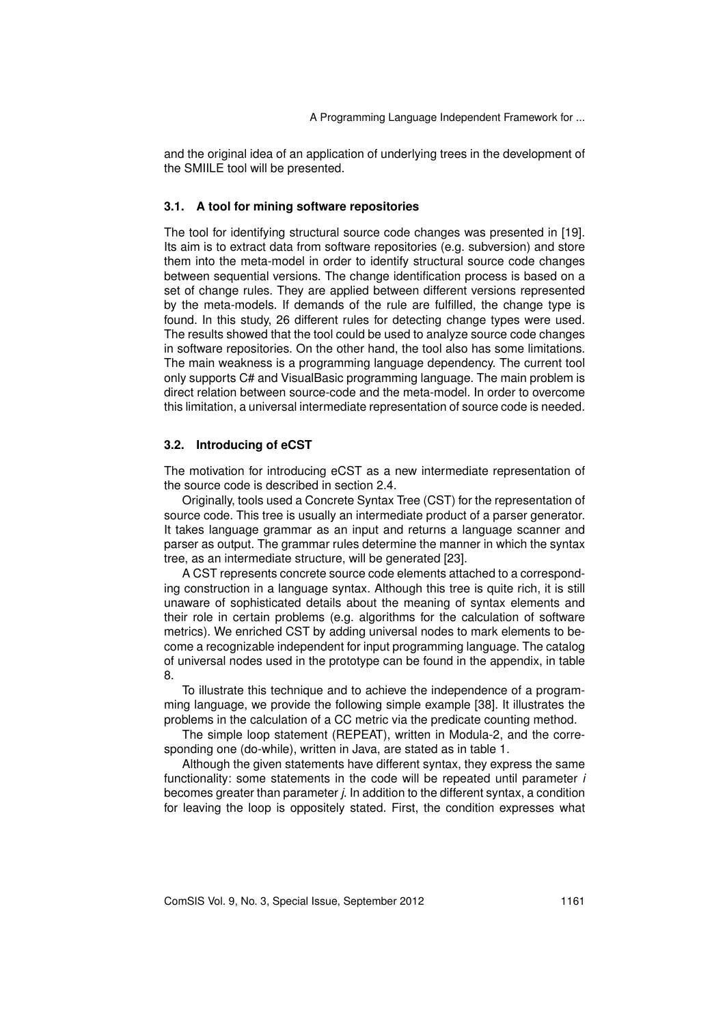and the original idea of an application of underlying trees in the development of the SMIILE tool will be presented.

#### **3.1. A tool for mining software repositories**

The tool for identifying structural source code changes was presented in [19]. Its aim is to extract data from software repositories (e.g. subversion) and store them into the meta-model in order to identify structural source code changes between sequential versions. The change identification process is based on a set of change rules. They are applied between different versions represented by the meta-models. If demands of the rule are fulfilled, the change type is found. In this study, 26 different rules for detecting change types were used. The results showed that the tool could be used to analyze source code changes in software repositories. On the other hand, the tool also has some limitations. The main weakness is a programming language dependency. The current tool only supports C# and VisualBasic programming language. The main problem is direct relation between source-code and the meta-model. In order to overcome this limitation, a universal intermediate representation of source code is needed.

#### **3.2. Introducing of eCST**

The motivation for introducing eCST as a new intermediate representation of the source code is described in section 2.4.

Originally, tools used a Concrete Syntax Tree (CST) for the representation of source code. This tree is usually an intermediate product of a parser generator. It takes language grammar as an input and returns a language scanner and parser as output. The grammar rules determine the manner in which the syntax tree, as an intermediate structure, will be generated [23].

A CST represents concrete source code elements attached to a corresponding construction in a language syntax. Although this tree is quite rich, it is still unaware of sophisticated details about the meaning of syntax elements and their role in certain problems (e.g. algorithms for the calculation of software metrics). We enriched CST by adding universal nodes to mark elements to become a recognizable independent for input programming language. The catalog of universal nodes used in the prototype can be found in the appendix, in table 8.

To illustrate this technique and to achieve the independence of a programming language, we provide the following simple example [38]. It illustrates the problems in the calculation of a CC metric via the predicate counting method.

The simple loop statement (REPEAT), written in Modula-2, and the corresponding one (do-while), written in Java, are stated as in table 1.

Although the given statements have different syntax, they express the same functionality: some statements in the code will be repeated until parameter *i* becomes greater than parameter *j*. In addition to the different syntax, a condition for leaving the loop is oppositely stated. First, the condition expresses what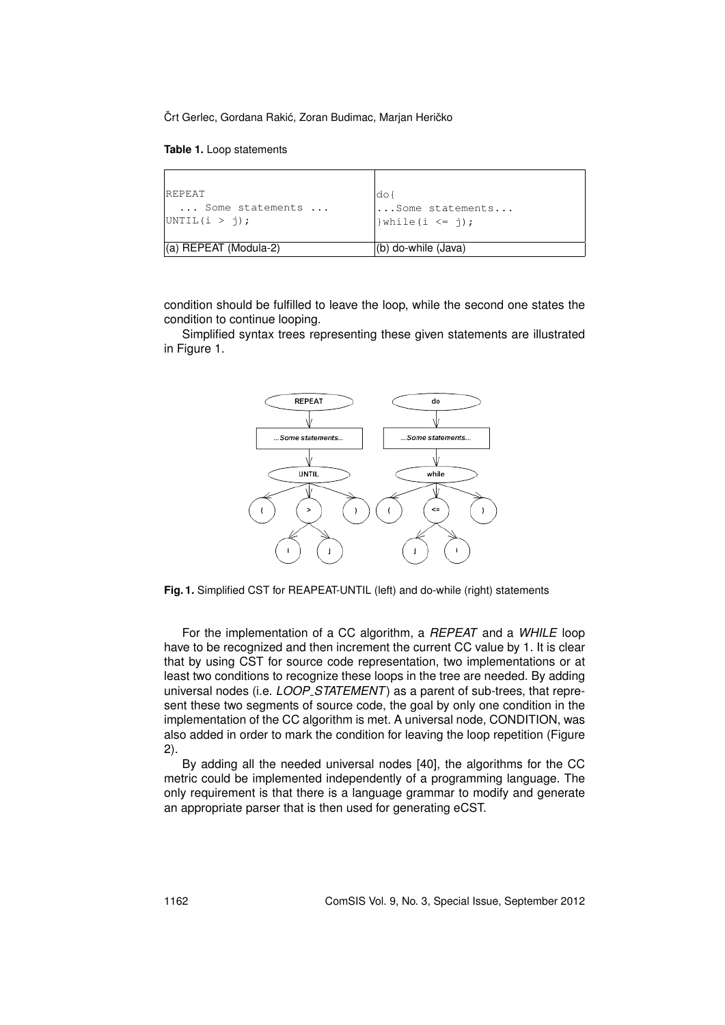**Table 1.** Loop statements

| <b>REPEAT</b>         | ldo {                |
|-----------------------|----------------------|
| Some statements       | $ $ Some statements  |
| UNITIL(i > j);        | $ \}$ while(i <= j); |
| (a) REPEAT (Modula-2) | (b) do-while (Java)  |

condition should be fulfilled to leave the loop, while the second one states the condition to continue looping.

Simplified syntax trees representing these given statements are illustrated in Figure 1.



**Fig. 1.** Simplified CST for REAPEAT-UNTIL (left) and do-while (right) statements

For the implementation of a CC algorithm, a *REPEAT* and a *WHILE* loop have to be recognized and then increment the current CC value by 1. It is clear that by using CST for source code representation, two implementations or at least two conditions to recognize these loops in the tree are needed. By adding universal nodes (i.e. *LOOP STATEMENT*) as a parent of sub-trees, that represent these two segments of source code, the goal by only one condition in the implementation of the CC algorithm is met. A universal node, CONDITION, was also added in order to mark the condition for leaving the loop repetition (Figure 2).

By adding all the needed universal nodes [40], the algorithms for the CC metric could be implemented independently of a programming language. The only requirement is that there is a language grammar to modify and generate an appropriate parser that is then used for generating eCST.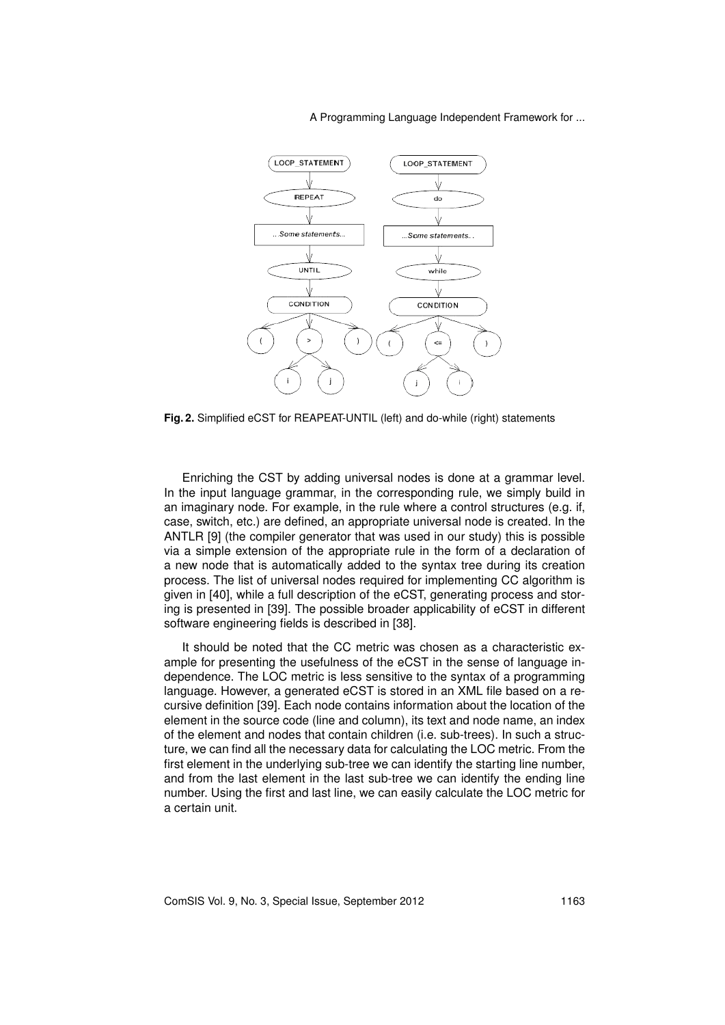

**Fig. 2.** Simplified eCST for REAPEAT-UNTIL (left) and do-while (right) statements

Enriching the CST by adding universal nodes is done at a grammar level. In the input language grammar, in the corresponding rule, we simply build in an imaginary node. For example, in the rule where a control structures (e.g. if, case, switch, etc.) are defined, an appropriate universal node is created. In the ANTLR [9] (the compiler generator that was used in our study) this is possible via a simple extension of the appropriate rule in the form of a declaration of a new node that is automatically added to the syntax tree during its creation process. The list of universal nodes required for implementing CC algorithm is given in [40], while a full description of the eCST, generating process and storing is presented in [39]. The possible broader applicability of eCST in different software engineering fields is described in [38].

It should be noted that the CC metric was chosen as a characteristic example for presenting the usefulness of the eCST in the sense of language independence. The LOC metric is less sensitive to the syntax of a programming language. However, a generated eCST is stored in an XML file based on a recursive definition [39]. Each node contains information about the location of the element in the source code (line and column), its text and node name, an index of the element and nodes that contain children (i.e. sub-trees). In such a structure, we can find all the necessary data for calculating the LOC metric. From the first element in the underlying sub-tree we can identify the starting line number, and from the last element in the last sub-tree we can identify the ending line number. Using the first and last line, we can easily calculate the LOC metric for a certain unit.

ComSIS Vol. 9, No. 3, Special Issue, September 2012 1163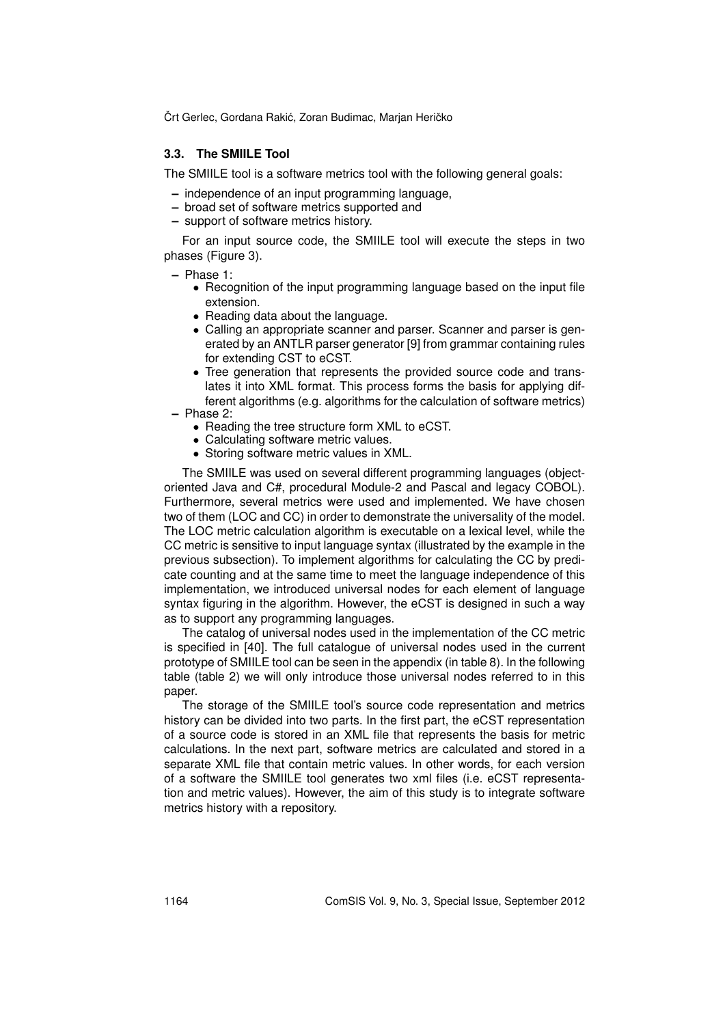#### **3.3. The SMIILE Tool**

The SMIILE tool is a software metrics tool with the following general goals:

- **–** independence of an input programming language,
- **–** broad set of software metrics supported and
- **–** support of software metrics history.

For an input source code, the SMIILE tool will execute the steps in two phases (Figure 3).

- **–** Phase 1:
	- *•* Recognition of the input programming language based on the input file extension.
	- *•* Reading data about the language.
	- *•* Calling an appropriate scanner and parser. Scanner and parser is generated by an ANTLR parser generator [9] from grammar containing rules for extending CST to eCST.
- *•* Tree generation that represents the provided source code and translates it into XML format. This process forms the basis for applying different algorithms (e.g. algorithms for the calculation of software metrics) **–** Phase 2:
	- Reading the tree structure form XML to eCST.
	- *•* Calculating software metric values.
	- *•* Storing software metric values in XML.

The SMIILE was used on several different programming languages (objectoriented Java and C#, procedural Module-2 and Pascal and legacy COBOL). Furthermore, several metrics were used and implemented. We have chosen two of them (LOC and CC) in order to demonstrate the universality of the model. The LOC metric calculation algorithm is executable on a lexical level, while the CC metric is sensitive to input language syntax (illustrated by the example in the previous subsection). To implement algorithms for calculating the CC by predicate counting and at the same time to meet the language independence of this implementation, we introduced universal nodes for each element of language syntax figuring in the algorithm. However, the eCST is designed in such a way as to support any programming languages.

The catalog of universal nodes used in the implementation of the CC metric is specified in [40]. The full catalogue of universal nodes used in the current prototype of SMIILE tool can be seen in the appendix (in table 8). In the following table (table 2) we will only introduce those universal nodes referred to in this paper.

The storage of the SMIILE tool's source code representation and metrics history can be divided into two parts. In the first part, the eCST representation of a source code is stored in an XML file that represents the basis for metric calculations. In the next part, software metrics are calculated and stored in a separate XML file that contain metric values. In other words, for each version of a software the SMIILE tool generates two xml files (i.e. eCST representation and metric values). However, the aim of this study is to integrate software metrics history with a repository.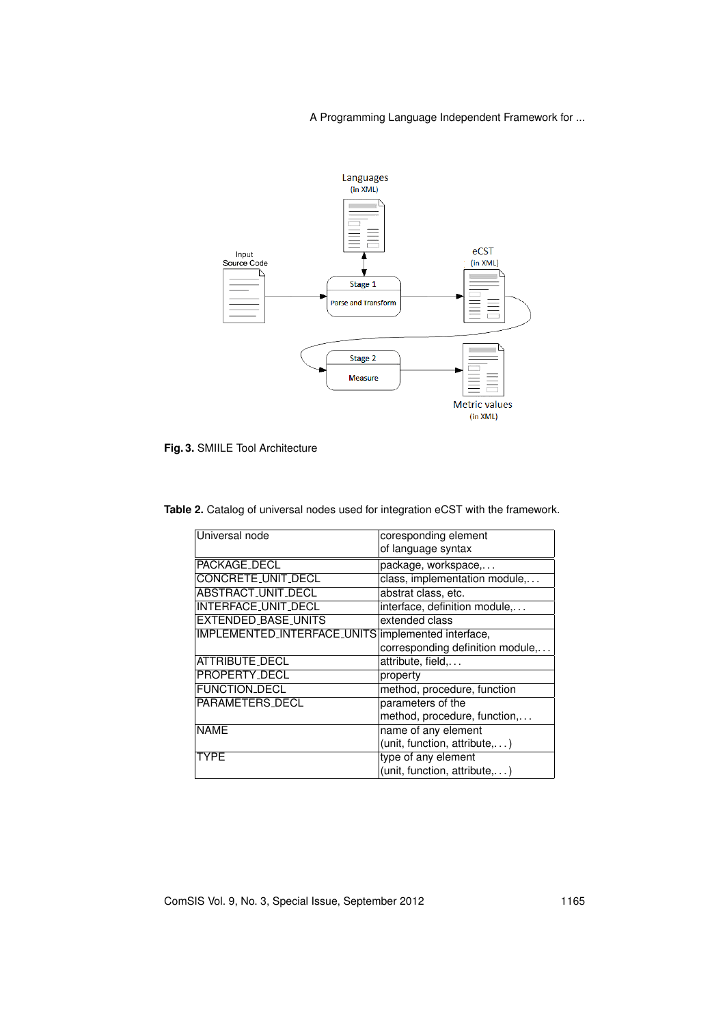

**Fig. 3.** SMIILE Tool Architecture

| <b>Table 2.</b> Catalog of universal nodes used for integration eCST with the framework. |  |
|------------------------------------------------------------------------------------------|--|
|                                                                                          |  |

| Universal node                                     | coresponding element             |
|----------------------------------------------------|----------------------------------|
|                                                    | of language syntax               |
| PACKAGE_DECL                                       | package, workspace,              |
| CONCRETE_UNIT_DECL                                 | class, implementation module,    |
| ABSTRACT_UNIT_DECL                                 | abstrat class, etc.              |
| INTERFACE_UNIT_DECL                                | interface, definition module,    |
| <b>EXTENDED_BASE_UNITS</b>                         | extended class                   |
| IMPLEMENTED_INTERFACE_UNITS implemented interface, |                                  |
|                                                    | corresponding definition module, |
| ATTRIBUTE_DECL                                     | attribute, field,                |
| PROPERTY_DECL                                      | property                         |
| <b>FUNCTION_DECL</b>                               | method, procedure, function      |
| PARAMETERS_DECL                                    | parameters of the                |
|                                                    | method, procedure, function,     |
| <b>NAME</b>                                        | name of any element              |
|                                                    | (unit, function, attribute,)     |
| <b>TYPE</b>                                        | type of any element              |
|                                                    | (unit, function, attribute,)     |

ComSIS Vol. 9, No. 3, Special Issue, September 2012 1165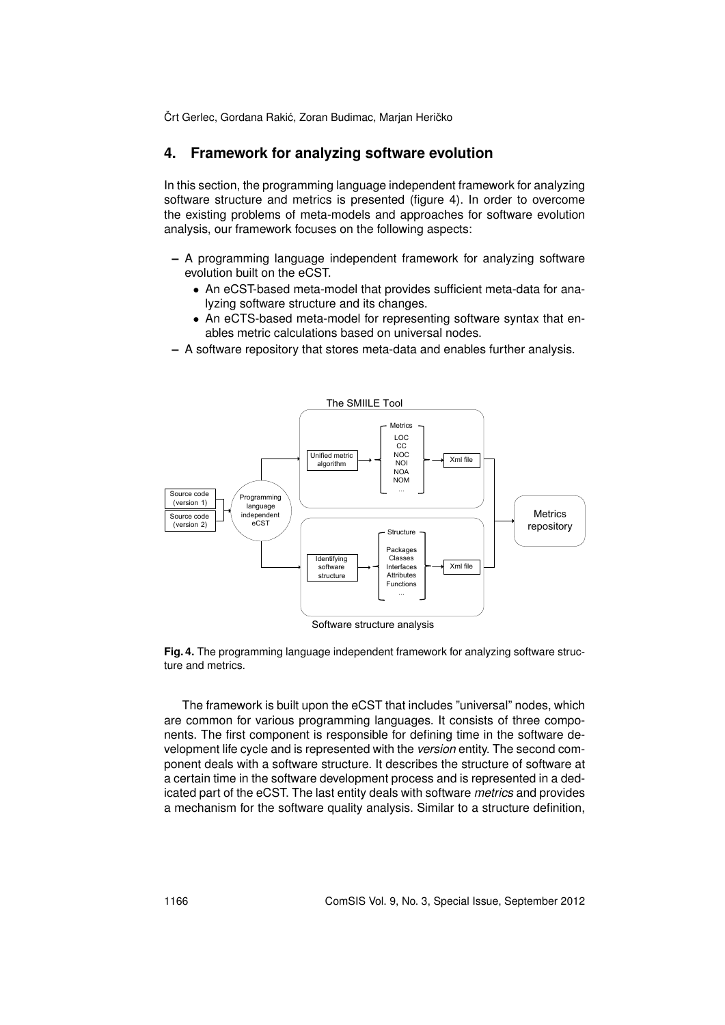### **4. Framework for analyzing software evolution**

In this section, the programming language independent framework for analyzing software structure and metrics is presented (figure 4). In order to overcome the existing problems of meta-models and approaches for software evolution analysis, our framework focuses on the following aspects:

- **–** A programming language independent framework for analyzing software evolution built on the eCST.
	- *•* An eCST-based meta-model that provides sufficient meta-data for analyzing software structure and its changes.
	- *•* An eCTS-based meta-model for representing software syntax that enables metric calculations based on universal nodes.
- **–** A software repository that stores meta-data and enables further analysis.



**Fig. 4.** The programming language independent framework for analyzing software structure and metrics.

The framework is built upon the eCST that includes "universal" nodes, which are common for various programming languages. It consists of three components. The first component is responsible for defining time in the software development life cycle and is represented with the *version* entity. The second component deals with a software structure. It describes the structure of software at a certain time in the software development process and is represented in a dedicated part of the eCST. The last entity deals with software *metrics* and provides a mechanism for the software quality analysis. Similar to a structure definition,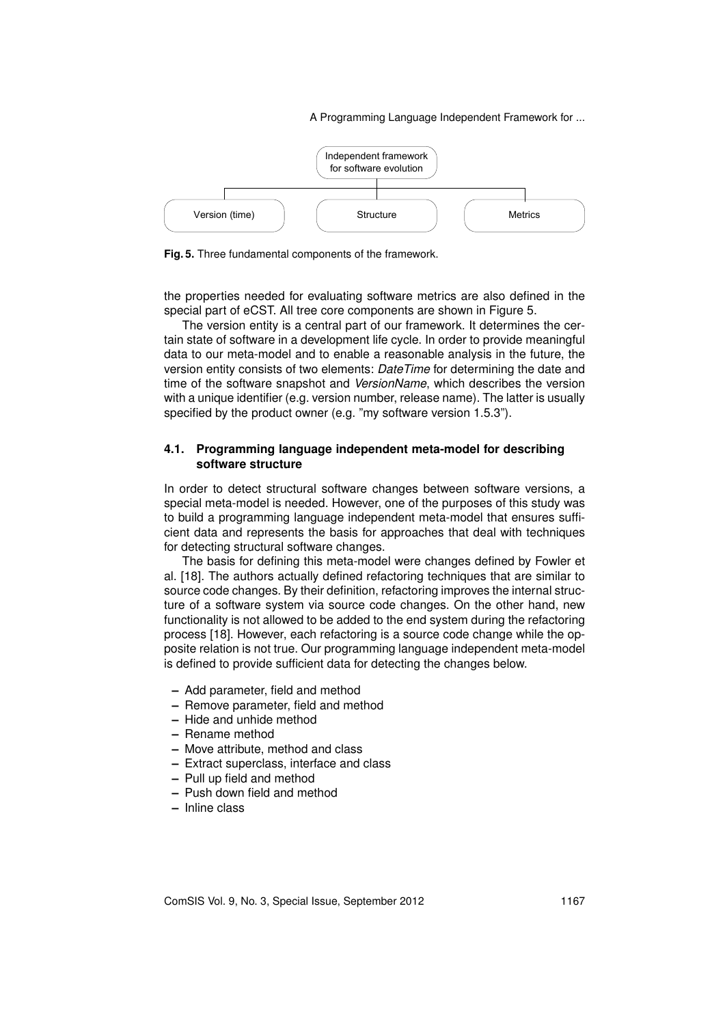

**Fig. 5.** Three fundamental components of the framework.

the properties needed for evaluating software metrics are also defined in the special part of eCST. All tree core components are shown in Figure 5.

The version entity is a central part of our framework. It determines the certain state of software in a development life cycle. In order to provide meaningful data to our meta-model and to enable a reasonable analysis in the future, the version entity consists of two elements: *DateTime* for determining the date and time of the software snapshot and *VersionName*, which describes the version with a unique identifier (e.g. version number, release name). The latter is usually specified by the product owner (e.g. "my software version 1.5.3").

#### **4.1. Programming language independent meta-model for describing software structure**

In order to detect structural software changes between software versions, a special meta-model is needed. However, one of the purposes of this study was to build a programming language independent meta-model that ensures sufficient data and represents the basis for approaches that deal with techniques for detecting structural software changes.

The basis for defining this meta-model were changes defined by Fowler et al. [18]. The authors actually defined refactoring techniques that are similar to source code changes. By their definition, refactoring improves the internal structure of a software system via source code changes. On the other hand, new functionality is not allowed to be added to the end system during the refactoring process [18]. However, each refactoring is a source code change while the opposite relation is not true. Our programming language independent meta-model is defined to provide sufficient data for detecting the changes below.

- **–** Add parameter, field and method
- **–** Remove parameter, field and method
- **–** Hide and unhide method
- **–** Rename method
- **–** Move attribute, method and class
- **–** Extract superclass, interface and class
- **–** Pull up field and method
- **–** Push down field and method
- **–** Inline class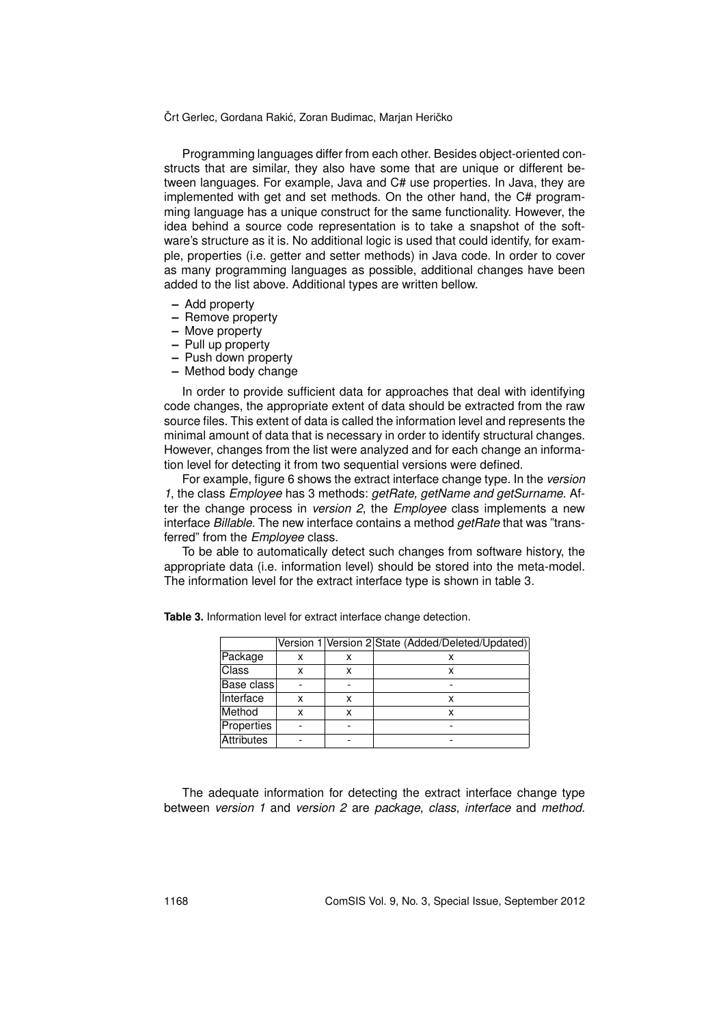Programming languages differ from each other. Besides object-oriented constructs that are similar, they also have some that are unique or different between languages. For example, Java and C# use properties. In Java, they are implemented with get and set methods. On the other hand, the C# programming language has a unique construct for the same functionality. However, the idea behind a source code representation is to take a snapshot of the software's structure as it is. No additional logic is used that could identify, for example, properties (i.e. getter and setter methods) in Java code. In order to cover as many programming languages as possible, additional changes have been added to the list above. Additional types are written bellow.

- **–** Add property
- **–** Remove property
- **–** Move property
- **–** Pull up property
- **–** Push down property
- **–** Method body change

In order to provide sufficient data for approaches that deal with identifying code changes, the appropriate extent of data should be extracted from the raw source files. This extent of data is called the information level and represents the minimal amount of data that is necessary in order to identify structural changes. However, changes from the list were analyzed and for each change an information level for detecting it from two sequential versions were defined.

For example, figure 6 shows the extract interface change type. In the *version 1*, the class *Employee* has 3 methods: *getRate, getName and getSurname*. After the change process in *version 2*, the *Employee* class implements a new interface *Billable*. The new interface contains a method *getRate* that was "transferred" from the *Employee* class.

To be able to automatically detect such changes from software history, the appropriate data (i.e. information level) should be stored into the meta-model. The information level for the extract interface type is shown in table 3.

|              |   |   | Version 1 Version 2 State (Added/Deleted/Updated) |
|--------------|---|---|---------------------------------------------------|
| Package      | x | x |                                                   |
| <b>Class</b> |   | x | x                                                 |
| Base class   |   |   |                                                   |
| Interface    | x | x | x                                                 |
| Method       | x | x | x                                                 |
| Properties   |   |   |                                                   |
| Attributes   |   |   |                                                   |

**Table 3.** Information level for extract interface change detection.

The adequate information for detecting the extract interface change type between *version 1* and *version 2* are *package*, *class*, *interface* and *method*.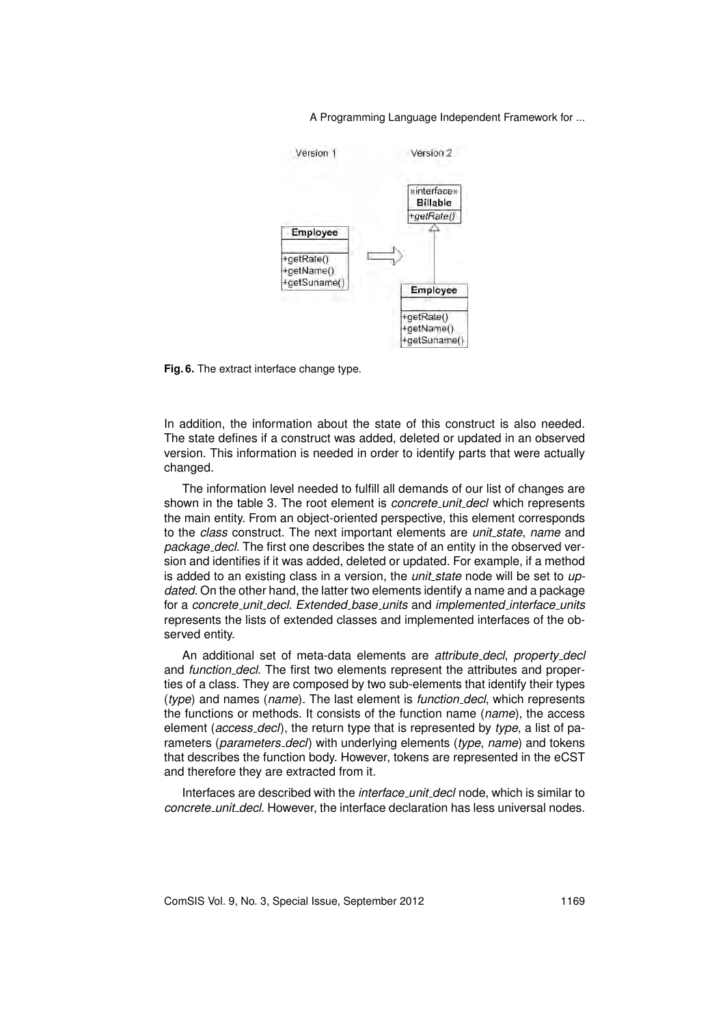

**Fig. 6.** The extract interface change type.

In addition, the information about the state of this construct is also needed. The state defines if a construct was added, deleted or updated in an observed version. This information is needed in order to identify parts that were actually changed.

The information level needed to fulfill all demands of our list of changes are shown in the table 3. The root element is *concrete unit decl* which represents the main entity. From an object-oriented perspective, this element corresponds to the *class* construct. The next important elements are *unit state*, *name* and *package decl*. The first one describes the state of an entity in the observed version and identifies if it was added, deleted or updated. For example, if a method is added to an existing class in a version, the *unit state* node will be set to *updated*. On the other hand, the latter two elements identify a name and a package for a *concrete unit decl*. *Extended base units* and *implemented interface units* represents the lists of extended classes and implemented interfaces of the observed entity.

An additional set of meta-data elements are *attribute decl*, *property decl* and *function decl*. The first two elements represent the attributes and properties of a class. They are composed by two sub-elements that identify their types (*type*) and names (*name*). The last element is *function decl*, which represents the functions or methods. It consists of the function name (*name*), the access element (*access decl*), the return type that is represented by *type*, a list of parameters (*parameters decl*) with underlying elements (*type*, *name*) and tokens that describes the function body. However, tokens are represented in the eCST and therefore they are extracted from it.

Interfaces are described with the *interface unit decl* node, which is similar to *concrete unit decl*. However, the interface declaration has less universal nodes.

ComSIS Vol. 9, No. 3, Special Issue, September 2012 1169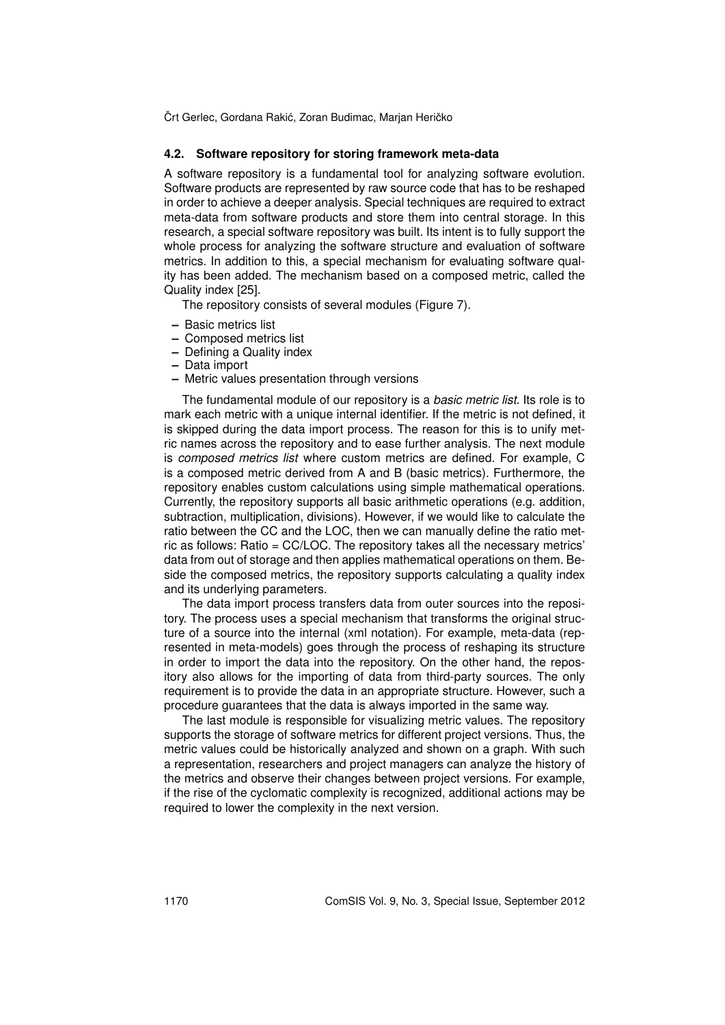#### **4.2. Software repository for storing framework meta-data**

A software repository is a fundamental tool for analyzing software evolution. Software products are represented by raw source code that has to be reshaped in order to achieve a deeper analysis. Special techniques are required to extract meta-data from software products and store them into central storage. In this research, a special software repository was built. Its intent is to fully support the whole process for analyzing the software structure and evaluation of software metrics. In addition to this, a special mechanism for evaluating software quality has been added. The mechanism based on a composed metric, called the Quality index [25].

The repository consists of several modules (Figure 7).

- **–** Basic metrics list
- **–** Composed metrics list
- **–** Defining a Quality index
- **–** Data import
- **–** Metric values presentation through versions

The fundamental module of our repository is a *basic metric list*. Its role is to mark each metric with a unique internal identifier. If the metric is not defined, it is skipped during the data import process. The reason for this is to unify metric names across the repository and to ease further analysis. The next module is *composed metrics list* where custom metrics are defined. For example, C is a composed metric derived from A and B (basic metrics). Furthermore, the repository enables custom calculations using simple mathematical operations. Currently, the repository supports all basic arithmetic operations (e.g. addition, subtraction, multiplication, divisions). However, if we would like to calculate the ratio between the CC and the LOC, then we can manually define the ratio metric as follows: Ratio = CC/LOC. The repository takes all the necessary metrics' data from out of storage and then applies mathematical operations on them. Beside the composed metrics, the repository supports calculating a quality index and its underlying parameters.

The data import process transfers data from outer sources into the repository. The process uses a special mechanism that transforms the original structure of a source into the internal (xml notation). For example, meta-data (represented in meta-models) goes through the process of reshaping its structure in order to import the data into the repository. On the other hand, the repository also allows for the importing of data from third-party sources. The only requirement is to provide the data in an appropriate structure. However, such a procedure guarantees that the data is always imported in the same way.

The last module is responsible for visualizing metric values. The repository supports the storage of software metrics for different project versions. Thus, the metric values could be historically analyzed and shown on a graph. With such a representation, researchers and project managers can analyze the history of the metrics and observe their changes between project versions. For example, if the rise of the cyclomatic complexity is recognized, additional actions may be required to lower the complexity in the next version.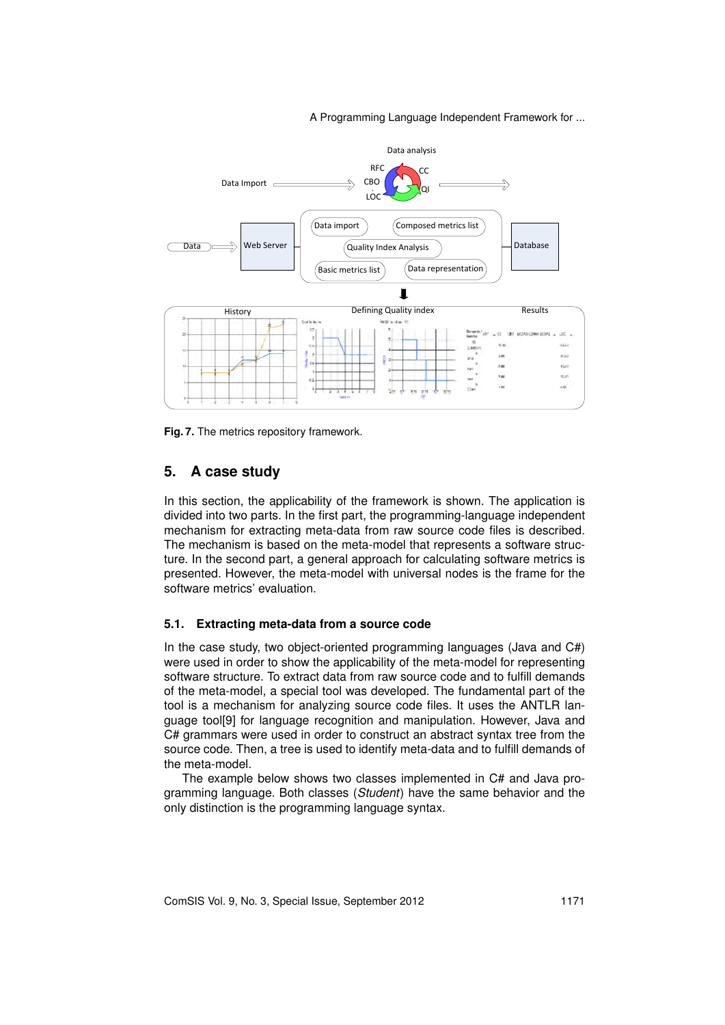

**Fig. 7.** The metrics repository framework.

### **5. A case study**

In this section, the applicability of the framework is shown. The application is divided into two parts. In the first part, the programming-language independent mechanism for extracting meta-data from raw source code files is described. The mechanism is based on the meta-model that represents a software structure. In the second part, a general approach for calculating software metrics is presented. However, the meta-model with universal nodes is the frame for the software metrics' evaluation.

#### **5.1. Extracting meta-data from a source code**

In the case study, two object-oriented programming languages (Java and C#) were used in order to show the applicability of the meta-model for representing software structure. To extract data from raw source code and to fulfill demands of the meta-model, a special tool was developed. The fundamental part of the tool is a mechanism for analyzing source code files. It uses the ANTLR language tool[9] for language recognition and manipulation. However, Java and C# grammars were used in order to construct an abstract syntax tree from the source code. Then, a tree is used to identify meta-data and to fulfill demands of the meta-model.

The example below shows two classes implemented in C# and Java programming language. Both classes (*Student*) have the same behavior and the only distinction is the programming language syntax.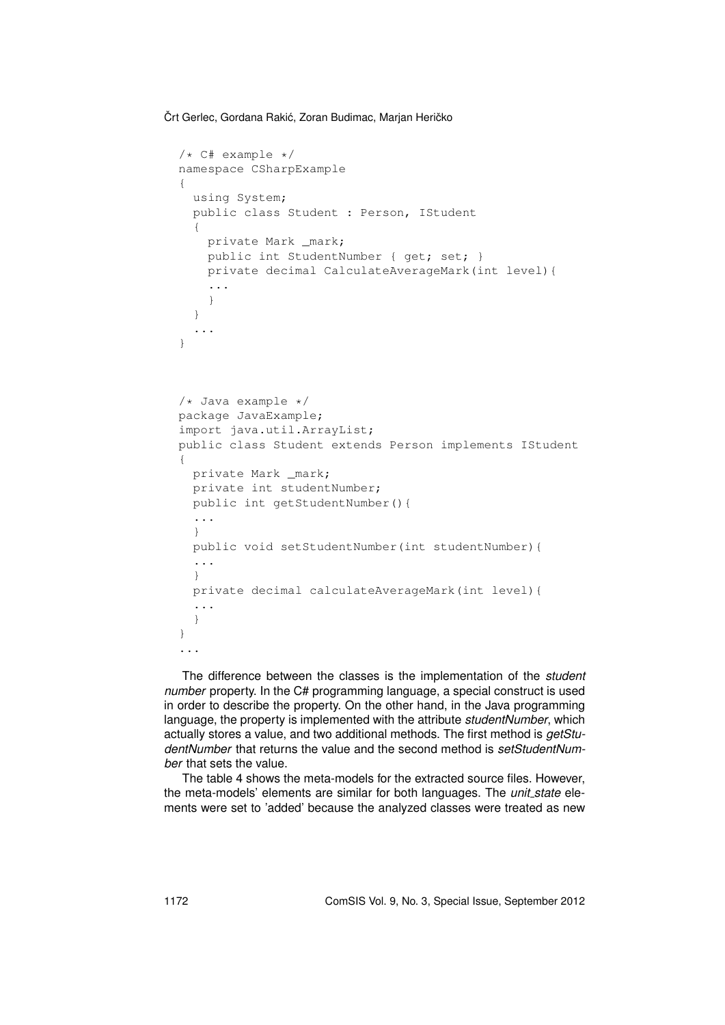```
/* C# example */namespace CSharpExample
{
  using System;
 public class Student : Person, IStudent
  {
   private Mark _mark;
   public int StudentNumber { get; set; }
   private decimal CalculateAverageMark(int level){
    ...
    }
  }
  ...
}
/* Java example */
package JavaExample;
import java.util.ArrayList;
public class Student extends Person implements IStudent
{
 private Mark _mark;
 private int studentNumber;
 public int getStudentNumber(){
  ...
  }
 public void setStudentNumber(int studentNumber){
  ...
  }
 private decimal calculateAverageMark(int level){
 ...
  }
}
...
```
The difference between the classes is the implementation of the *student number* property. In the C# programming language, a special construct is used in order to describe the property. On the other hand, in the Java programming language, the property is implemented with the attribute *studentNumber*, which actually stores a value, and two additional methods. The first method is *getStudentNumber* that returns the value and the second method is *setStudentNumber* that sets the value.

The table 4 shows the meta-models for the extracted source files. However, the meta-models' elements are similar for both languages. The *unit state* elements were set to 'added' because the analyzed classes were treated as new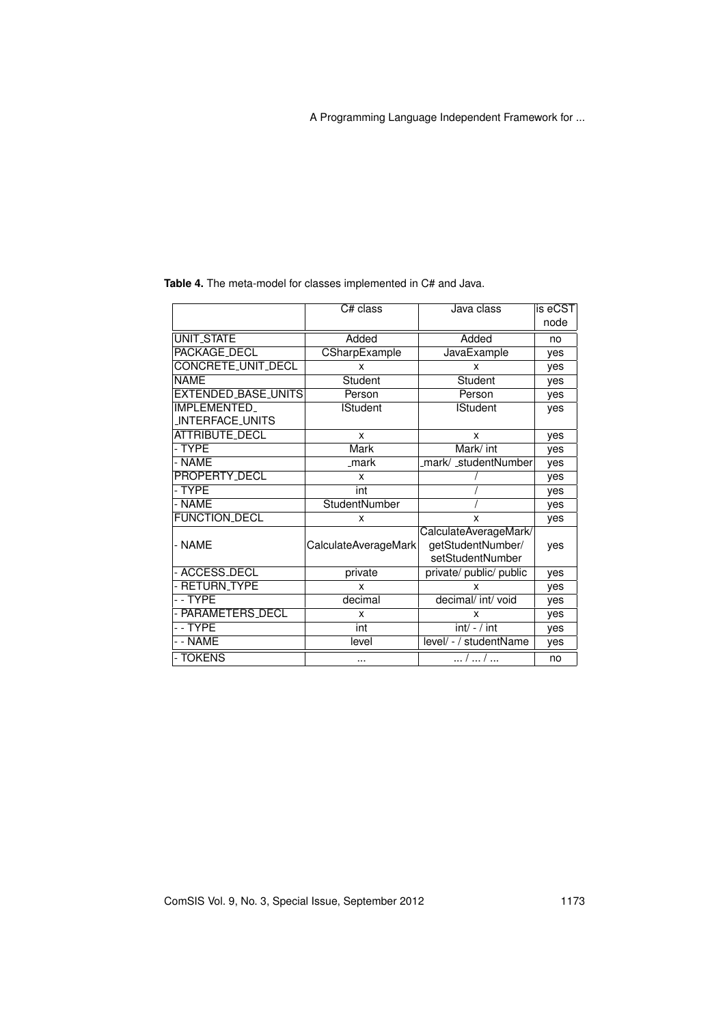|                            | C# class<br>Java class |                                                                | is eCST |
|----------------------------|------------------------|----------------------------------------------------------------|---------|
|                            |                        |                                                                | node    |
| UNIT_STATE                 | Added                  | Added                                                          | no      |
| <b>PACKAGE_DECL</b>        | CSharpExample          | <b>JavaExample</b>                                             | yes     |
| CONCRETE_UNIT_DECL         | x                      | x                                                              | yes     |
| <b>NAME</b>                | Student                | Student                                                        | ves     |
| EXTENDED_BASE_UNITS        | Person                 | Person                                                         | yes     |
| IMPLEMENTED_               | <b>IStudent</b>        | <b>IStudent</b>                                                | ves     |
| INTERFACE_UNITS            |                        |                                                                |         |
| <b>ATTRIBUTE_DECL</b>      | X                      | x                                                              | yes     |
| - TYPE                     | Mark                   | Mark/ int                                                      | yes     |
| - NAME                     | _mark                  | _mark/ _studentNumber                                          | yes     |
| PROPERTY_DECL              | X                      |                                                                | yes     |
| - TYPE                     | int                    |                                                                | yes     |
| - NAME                     | <b>StudentNumber</b>   |                                                                | yes     |
| <b>FUNCTION_DECL</b>       | X                      | x                                                              | yes     |
| - NAME                     | CalculateAverageMark   | CalculateAverageMark/<br>getStudentNumber/<br>setStudentNumber |         |
| - ACCESS <sub>-</sub> DECL | private                | private/ public/ public                                        | yes     |
| - RETURN_TYPE              | x                      | x                                                              | yes     |
| --TYPE                     | decimal                | decimal/ int/ void                                             | yes     |
| - PARAMETERS_DECL          | x                      | x                                                              | yes     |
| -- TYPE                    | int                    | $int/ - / int$                                                 | yes     |
| - - NAME                   | level                  | level/ - / studentName                                         | yes     |
| - TOKENS                   | $\cdots$               | /  /                                                           | no      |

**Table 4.** The meta-model for classes implemented in C# and Java.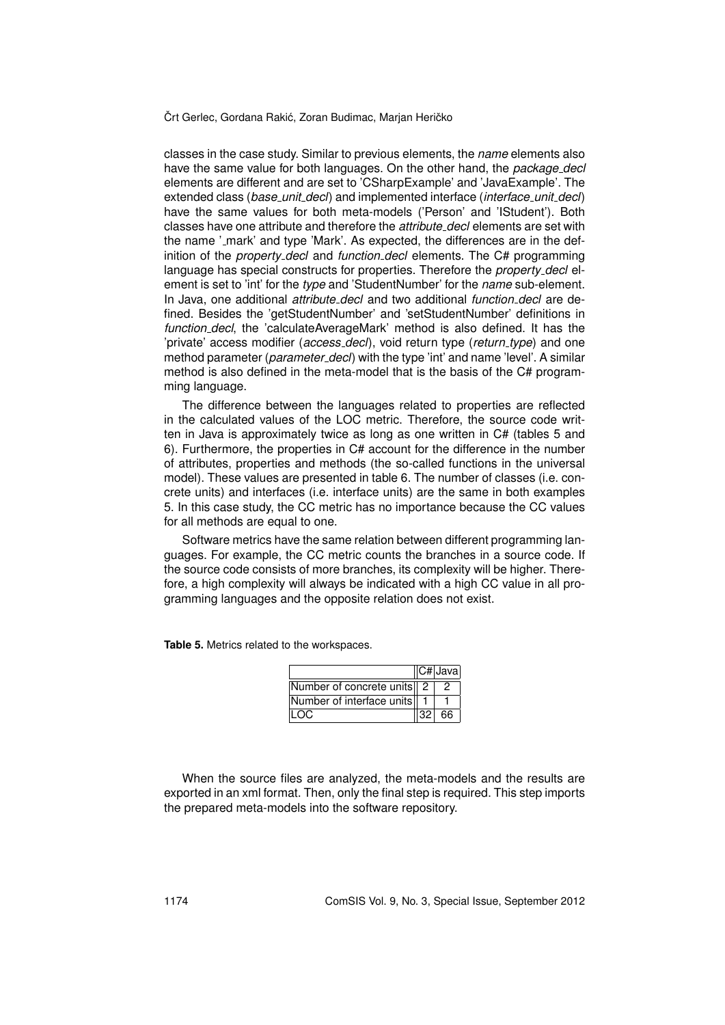classes in the case study. Similar to previous elements, the *name* elements also have the same value for both languages. On the other hand, the *package decl* elements are different and are set to 'CSharpExample' and 'JavaExample'. The extended class (*base unit decl*) and implemented interface (*interface unit decl*) have the same values for both meta-models ('Person' and 'IStudent'). Both classes have one attribute and therefore the *attribute decl* elements are set with the name '\_mark' and type 'Mark'. As expected, the differences are in the definition of the *property decl* and *function decl* elements. The C# programming language has special constructs for properties. Therefore the *property decl* element is set to 'int' for the *type* and 'StudentNumber' for the *name* sub-element. In Java, one additional *attribute decl* and two additional *function decl* are defined. Besides the 'getStudentNumber' and 'setStudentNumber' definitions in *function decl*, the 'calculateAverageMark' method is also defined. It has the 'private' access modifier (*access decl*), void return type (*return type*) and one method parameter (*parameter decl*) with the type 'int' and name 'level'. A similar method is also defined in the meta-model that is the basis of the C# programming language.

The difference between the languages related to properties are reflected in the calculated values of the LOC metric. Therefore, the source code written in Java is approximately twice as long as one written in C# (tables 5 and 6). Furthermore, the properties in C# account for the difference in the number of attributes, properties and methods (the so-called functions in the universal model). These values are presented in table 6. The number of classes (i.e. concrete units) and interfaces (i.e. interface units) are the same in both examples 5. In this case study, the CC metric has no importance because the CC values for all methods are equal to one.

Software metrics have the same relation between different programming languages. For example, the CC metric counts the branches in a source code. If the source code consists of more branches, its complexity will be higher. Therefore, a high complexity will always be indicated with a high CC value in all programming languages and the opposite relation does not exist.

**Table 5.** Metrics related to the workspaces.

|                            | $ C# $ Java |
|----------------------------|-------------|
| Number of concrete units 2 |             |
| Number of interface units  |             |
|                            | 66          |

When the source files are analyzed, the meta-models and the results are exported in an xml format. Then, only the final step is required. This step imports the prepared meta-models into the software repository.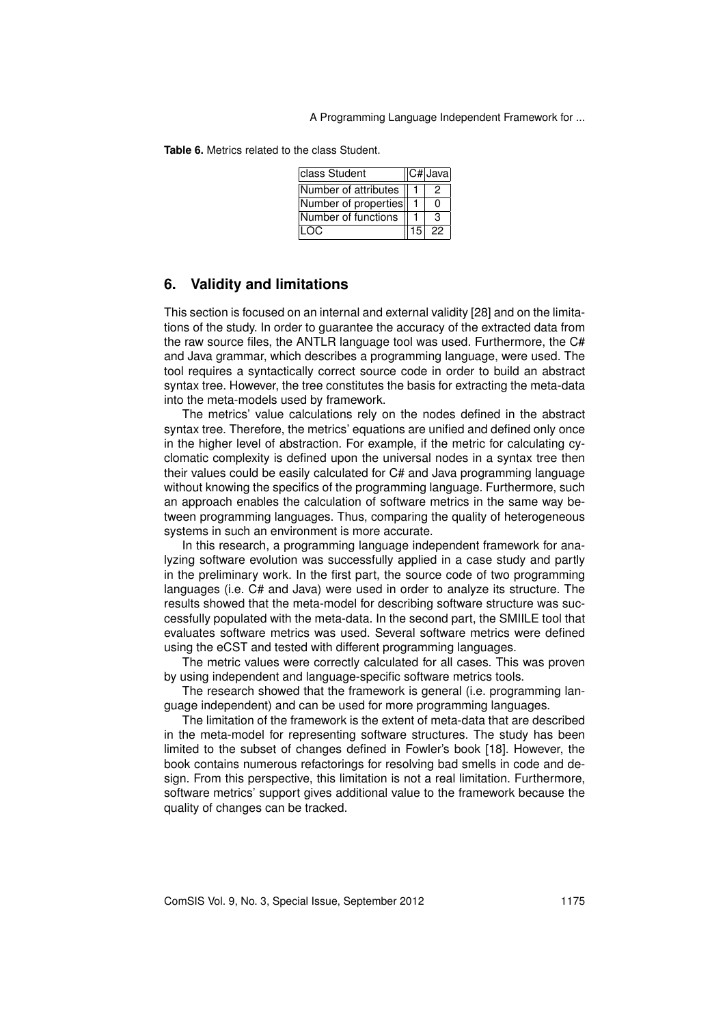**Table 6.** Metrics related to the class Student.

| class Student        |  | $\overline{ C# }$ Java |
|----------------------|--|------------------------|
| Number of attributes |  | 2                      |
| Number of properties |  | 0                      |
| Number of functions  |  | з                      |
| LOC.                 |  | $15$ 22                |

### **6. Validity and limitations**

This section is focused on an internal and external validity [28] and on the limitations of the study. In order to guarantee the accuracy of the extracted data from the raw source files, the ANTLR language tool was used. Furthermore, the C# and Java grammar, which describes a programming language, were used. The tool requires a syntactically correct source code in order to build an abstract syntax tree. However, the tree constitutes the basis for extracting the meta-data into the meta-models used by framework.

The metrics' value calculations rely on the nodes defined in the abstract syntax tree. Therefore, the metrics' equations are unified and defined only once in the higher level of abstraction. For example, if the metric for calculating cyclomatic complexity is defined upon the universal nodes in a syntax tree then their values could be easily calculated for C# and Java programming language without knowing the specifics of the programming language. Furthermore, such an approach enables the calculation of software metrics in the same way between programming languages. Thus, comparing the quality of heterogeneous systems in such an environment is more accurate.

In this research, a programming language independent framework for analyzing software evolution was successfully applied in a case study and partly in the preliminary work. In the first part, the source code of two programming languages (i.e. C# and Java) were used in order to analyze its structure. The results showed that the meta-model for describing software structure was successfully populated with the meta-data. In the second part, the SMIILE tool that evaluates software metrics was used. Several software metrics were defined using the eCST and tested with different programming languages.

The metric values were correctly calculated for all cases. This was proven by using independent and language-specific software metrics tools.

The research showed that the framework is general (i.e. programming language independent) and can be used for more programming languages.

The limitation of the framework is the extent of meta-data that are described in the meta-model for representing software structures. The study has been limited to the subset of changes defined in Fowler's book [18]. However, the book contains numerous refactorings for resolving bad smells in code and design. From this perspective, this limitation is not a real limitation. Furthermore, software metrics' support gives additional value to the framework because the quality of changes can be tracked.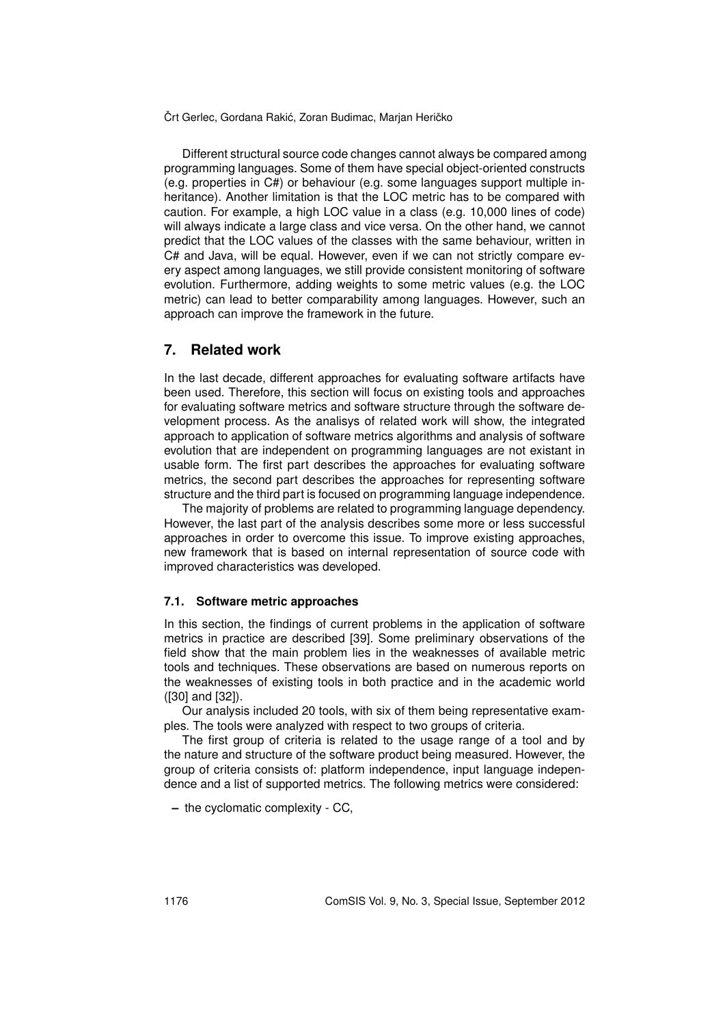Different structural source code changes cannot always be compared among programming languages. Some of them have special object-oriented constructs (e.g. properties in C#) or behaviour (e.g. some languages support multiple inheritance). Another limitation is that the LOC metric has to be compared with caution. For example, a high LOC value in a class (e.g. 10,000 lines of code) will always indicate a large class and vice versa. On the other hand, we cannot predict that the LOC values of the classes with the same behaviour, written in C# and Java, will be equal. However, even if we can not strictly compare every aspect among languages, we still provide consistent monitoring of software evolution. Furthermore, adding weights to some metric values (e.g. the LOC metric) can lead to better comparability among languages. However, such an approach can improve the framework in the future.

### **7. Related work**

In the last decade, different approaches for evaluating software artifacts have been used. Therefore, this section will focus on existing tools and approaches for evaluating software metrics and software structure through the software development process. As the analisys of related work will show, the integrated approach to application of software metrics algorithms and analysis of software evolution that are independent on programming languages are not existant in usable form. The first part describes the approaches for evaluating software metrics, the second part describes the approaches for representing software structure and the third part is focused on programming language independence.

The majority of problems are related to programming language dependency. However, the last part of the analysis describes some more or less successful approaches in order to overcome this issue. To improve existing approaches, new framework that is based on internal representation of source code with improved characteristics was developed.

#### **7.1. Software metric approaches**

In this section, the findings of current problems in the application of software metrics in practice are described [39]. Some preliminary observations of the field show that the main problem lies in the weaknesses of available metric tools and techniques. These observations are based on numerous reports on the weaknesses of existing tools in both practice and in the academic world ([30] and [32]).

Our analysis included 20 tools, with six of them being representative examples. The tools were analyzed with respect to two groups of criteria.

The first group of criteria is related to the usage range of a tool and by the nature and structure of the software product being measured. However, the group of criteria consists of: platform independence, input language independence and a list of supported metrics. The following metrics were considered:

**–** the cyclomatic complexity - CC,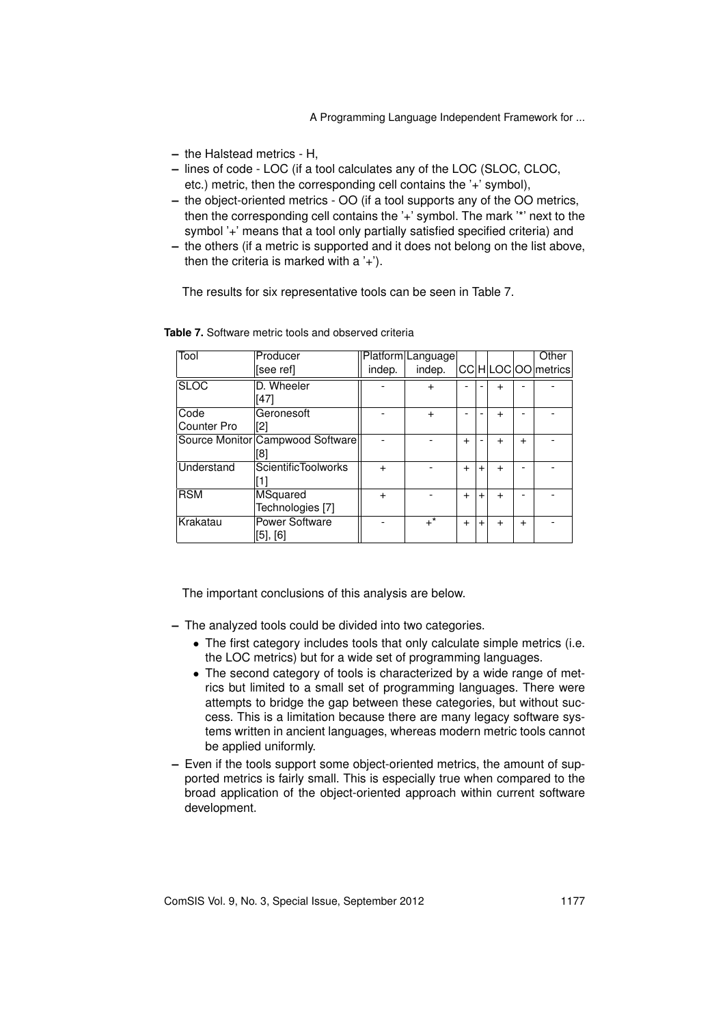- **–** the Halstead metrics H,
- **–** lines of code LOC (if a tool calculates any of the LOC (SLOC, CLOC, etc.) metric, then the corresponding cell contains the '+' symbol),
- **–** the object-oriented metrics OO (if a tool supports any of the OO metrics, then the corresponding cell contains the '+' symbol. The mark '\*' next to the symbol '+' means that a tool only partially satisfied specified criteria) and
- **–** the others (if a metric is supported and it does not belong on the list above, then the criteria is marked with  $a'$ +').

The results for six representative tools can be seen in Table 7.

| Tool        | Producer                         |           | Platform Language |           |     |           |           | Other            |
|-------------|----------------------------------|-----------|-------------------|-----------|-----|-----------|-----------|------------------|
|             | [see ref]                        | indep.    | indep.            |           |     |           |           | CCHLOCOO metrics |
| <b>SLOC</b> | D. Wheeler                       |           | $\ddot{}$         |           |     |           |           |                  |
|             | [47]                             |           |                   |           |     |           |           |                  |
| Code        | Geronesoft                       |           | $\ddot{}$         |           |     | $\ddot{}$ |           |                  |
| Counter Pro | [2]                              |           |                   |           |     |           |           |                  |
|             | Source Monitor Campwood Software |           |                   | $\ddot{}$ |     | $\ddot{}$ | $\ddot{}$ |                  |
|             | [8]                              |           |                   |           |     |           |           |                  |
| Understand  | <b>ScientificToolworks</b>       | $\ddot{}$ |                   | $\ddot{}$ | $+$ | $\ddot{}$ |           |                  |
|             |                                  |           |                   |           |     |           |           |                  |
| <b>RSM</b>  | MSquared                         | $\ddot{}$ |                   | $\ddot{}$ | $+$ | $\ddot{}$ |           |                  |
|             | Technologies [7]                 |           |                   |           |     |           |           |                  |
| Krakatau    | Power Software                   |           | $+$ *             | $\ddot{}$ | $+$ | $\ddot{}$ | $\ddot{}$ |                  |
|             | [5], [6]                         |           |                   |           |     |           |           |                  |

**Table 7.** Software metric tools and observed criteria

The important conclusions of this analysis are below.

- **–** The analyzed tools could be divided into two categories.
	- *•* The first category includes tools that only calculate simple metrics (i.e. the LOC metrics) but for a wide set of programming languages.
	- *•* The second category of tools is characterized by a wide range of metrics but limited to a small set of programming languages. There were attempts to bridge the gap between these categories, but without success. This is a limitation because there are many legacy software systems written in ancient languages, whereas modern metric tools cannot be applied uniformly.
- **–** Even if the tools support some object-oriented metrics, the amount of supported metrics is fairly small. This is especially true when compared to the broad application of the object-oriented approach within current software development.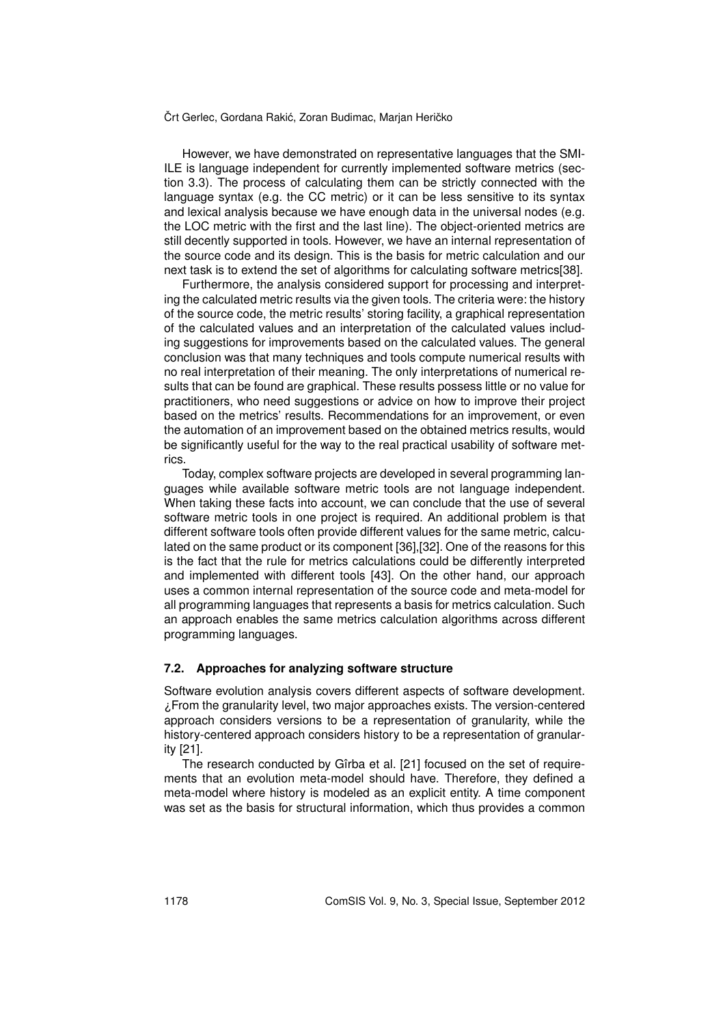However, we have demonstrated on representative languages that the SMI-ILE is language independent for currently implemented software metrics (section 3.3). The process of calculating them can be strictly connected with the language syntax (e.g. the CC metric) or it can be less sensitive to its syntax and lexical analysis because we have enough data in the universal nodes (e.g. the LOC metric with the first and the last line). The object-oriented metrics are still decently supported in tools. However, we have an internal representation of the source code and its design. This is the basis for metric calculation and our next task is to extend the set of algorithms for calculating software metrics[38].

Furthermore, the analysis considered support for processing and interpreting the calculated metric results via the given tools. The criteria were: the history of the source code, the metric results' storing facility, a graphical representation of the calculated values and an interpretation of the calculated values including suggestions for improvements based on the calculated values. The general conclusion was that many techniques and tools compute numerical results with no real interpretation of their meaning. The only interpretations of numerical results that can be found are graphical. These results possess little or no value for practitioners, who need suggestions or advice on how to improve their project based on the metrics' results. Recommendations for an improvement, or even the automation of an improvement based on the obtained metrics results, would be significantly useful for the way to the real practical usability of software metrics.

Today, complex software projects are developed in several programming languages while available software metric tools are not language independent. When taking these facts into account, we can conclude that the use of several software metric tools in one project is required. An additional problem is that different software tools often provide different values for the same metric, calculated on the same product or its component [36],[32]. One of the reasons for this is the fact that the rule for metrics calculations could be differently interpreted and implemented with different tools [43]. On the other hand, our approach uses a common internal representation of the source code and meta-model for all programming languages that represents a basis for metrics calculation. Such an approach enables the same metrics calculation algorithms across different programming languages.

#### **7.2. Approaches for analyzing software structure**

Software evolution analysis covers different aspects of software development. ¿From the granularity level, two major approaches exists. The version-centered approach considers versions to be a representation of granularity, while the history-centered approach considers history to be a representation of granularity [21].

The research conducted by Gîrba et al. [21] focused on the set of requirements that an evolution meta-model should have. Therefore, they defined a meta-model where history is modeled as an explicit entity. A time component was set as the basis for structural information, which thus provides a common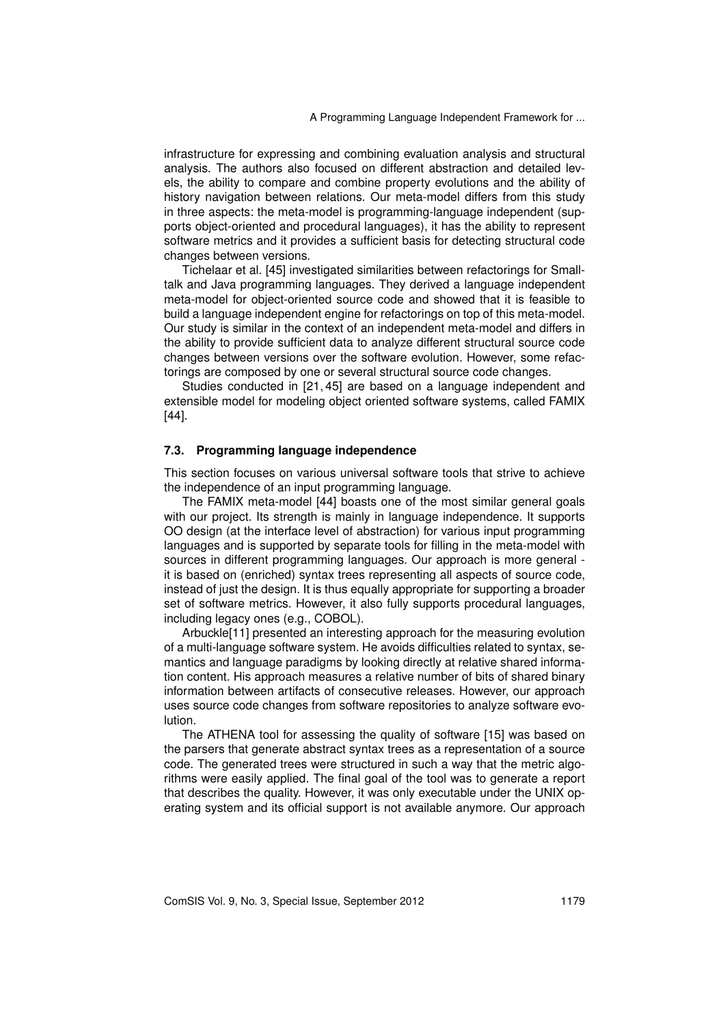infrastructure for expressing and combining evaluation analysis and structural analysis. The authors also focused on different abstraction and detailed levels, the ability to compare and combine property evolutions and the ability of history navigation between relations. Our meta-model differs from this study in three aspects: the meta-model is programming-language independent (supports object-oriented and procedural languages), it has the ability to represent software metrics and it provides a sufficient basis for detecting structural code changes between versions.

Tichelaar et al. [45] investigated similarities between refactorings for Smalltalk and Java programming languages. They derived a language independent meta-model for object-oriented source code and showed that it is feasible to build a language independent engine for refactorings on top of this meta-model. Our study is similar in the context of an independent meta-model and differs in the ability to provide sufficient data to analyze different structural source code changes between versions over the software evolution. However, some refactorings are composed by one or several structural source code changes.

Studies conducted in [21, 45] are based on a language independent and extensible model for modeling object oriented software systems, called FAMIX [44].

#### **7.3. Programming language independence**

This section focuses on various universal software tools that strive to achieve the independence of an input programming language.

The FAMIX meta-model [44] boasts one of the most similar general goals with our project. Its strength is mainly in language independence. It supports OO design (at the interface level of abstraction) for various input programming languages and is supported by separate tools for filling in the meta-model with sources in different programming languages. Our approach is more general it is based on (enriched) syntax trees representing all aspects of source code, instead of just the design. It is thus equally appropriate for supporting a broader set of software metrics. However, it also fully supports procedural languages, including legacy ones (e.g., COBOL).

Arbuckle[11] presented an interesting approach for the measuring evolution of a multi-language software system. He avoids difficulties related to syntax, semantics and language paradigms by looking directly at relative shared information content. His approach measures a relative number of bits of shared binary information between artifacts of consecutive releases. However, our approach uses source code changes from software repositories to analyze software evolution.

The ATHENA tool for assessing the quality of software [15] was based on the parsers that generate abstract syntax trees as a representation of a source code. The generated trees were structured in such a way that the metric algorithms were easily applied. The final goal of the tool was to generate a report that describes the quality. However, it was only executable under the UNIX operating system and its official support is not available anymore. Our approach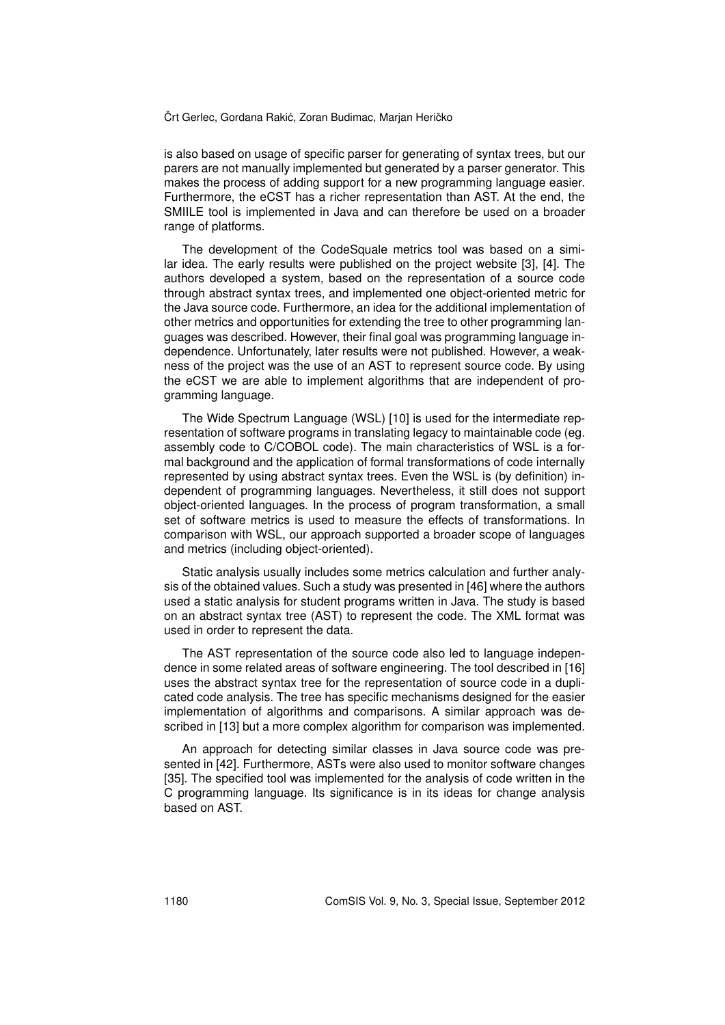is also based on usage of specific parser for generating of syntax trees, but our parers are not manually implemented but generated by a parser generator. This makes the process of adding support for a new programming language easier. Furthermore, the eCST has a richer representation than AST. At the end, the SMIILE tool is implemented in Java and can therefore be used on a broader range of platforms.

The development of the CodeSquale metrics tool was based on a similar idea. The early results were published on the project website [3], [4]. The authors developed a system, based on the representation of a source code through abstract syntax trees, and implemented one object-oriented metric for the Java source code. Furthermore, an idea for the additional implementation of other metrics and opportunities for extending the tree to other programming languages was described. However, their final goal was programming language independence. Unfortunately, later results were not published. However, a weakness of the project was the use of an AST to represent source code. By using the eCST we are able to implement algorithms that are independent of programming language.

The Wide Spectrum Language (WSL) [10] is used for the intermediate representation of software programs in translating legacy to maintainable code (eg. assembly code to C/COBOL code). The main characteristics of WSL is a formal background and the application of formal transformations of code internally represented by using abstract syntax trees. Even the WSL is (by definition) independent of programming languages. Nevertheless, it still does not support object-oriented languages. In the process of program transformation, a small set of software metrics is used to measure the effects of transformations. In comparison with WSL, our approach supported a broader scope of languages and metrics (including object-oriented).

Static analysis usually includes some metrics calculation and further analysis of the obtained values. Such a study was presented in [46] where the authors used a static analysis for student programs written in Java. The study is based on an abstract syntax tree (AST) to represent the code. The XML format was used in order to represent the data.

The AST representation of the source code also led to language independence in some related areas of software engineering. The tool described in [16] uses the abstract syntax tree for the representation of source code in a duplicated code analysis. The tree has specific mechanisms designed for the easier implementation of algorithms and comparisons. A similar approach was described in [13] but a more complex algorithm for comparison was implemented.

An approach for detecting similar classes in Java source code was presented in [42]. Furthermore, ASTs were also used to monitor software changes [35]. The specified tool was implemented for the analysis of code written in the C programming language. Its significance is in its ideas for change analysis based on AST.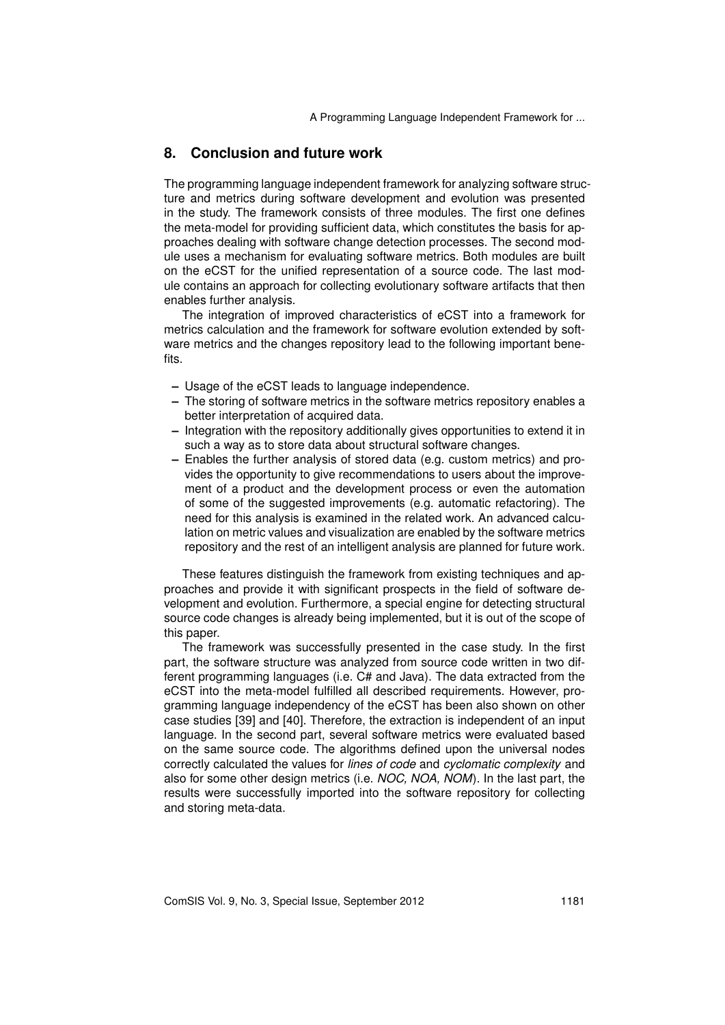### **8. Conclusion and future work**

The programming language independent framework for analyzing software structure and metrics during software development and evolution was presented in the study. The framework consists of three modules. The first one defines the meta-model for providing sufficient data, which constitutes the basis for approaches dealing with software change detection processes. The second module uses a mechanism for evaluating software metrics. Both modules are built on the eCST for the unified representation of a source code. The last module contains an approach for collecting evolutionary software artifacts that then enables further analysis.

The integration of improved characteristics of eCST into a framework for metrics calculation and the framework for software evolution extended by software metrics and the changes repository lead to the following important benefits.

- **–** Usage of the eCST leads to language independence.
- **–** The storing of software metrics in the software metrics repository enables a better interpretation of acquired data.
- **–** Integration with the repository additionally gives opportunities to extend it in such a way as to store data about structural software changes.
- **–** Enables the further analysis of stored data (e.g. custom metrics) and provides the opportunity to give recommendations to users about the improvement of a product and the development process or even the automation of some of the suggested improvements (e.g. automatic refactoring). The need for this analysis is examined in the related work. An advanced calculation on metric values and visualization are enabled by the software metrics repository and the rest of an intelligent analysis are planned for future work.

These features distinguish the framework from existing techniques and approaches and provide it with significant prospects in the field of software development and evolution. Furthermore, a special engine for detecting structural source code changes is already being implemented, but it is out of the scope of this paper.

The framework was successfully presented in the case study. In the first part, the software structure was analyzed from source code written in two different programming languages (i.e. C# and Java). The data extracted from the eCST into the meta-model fulfilled all described requirements. However, programming language independency of the eCST has been also shown on other case studies [39] and [40]. Therefore, the extraction is independent of an input language. In the second part, several software metrics were evaluated based on the same source code. The algorithms defined upon the universal nodes correctly calculated the values for *lines of code* and *cyclomatic complexity* and also for some other design metrics (i.e. *NOC, NOA, NOM*). In the last part, the results were successfully imported into the software repository for collecting and storing meta-data.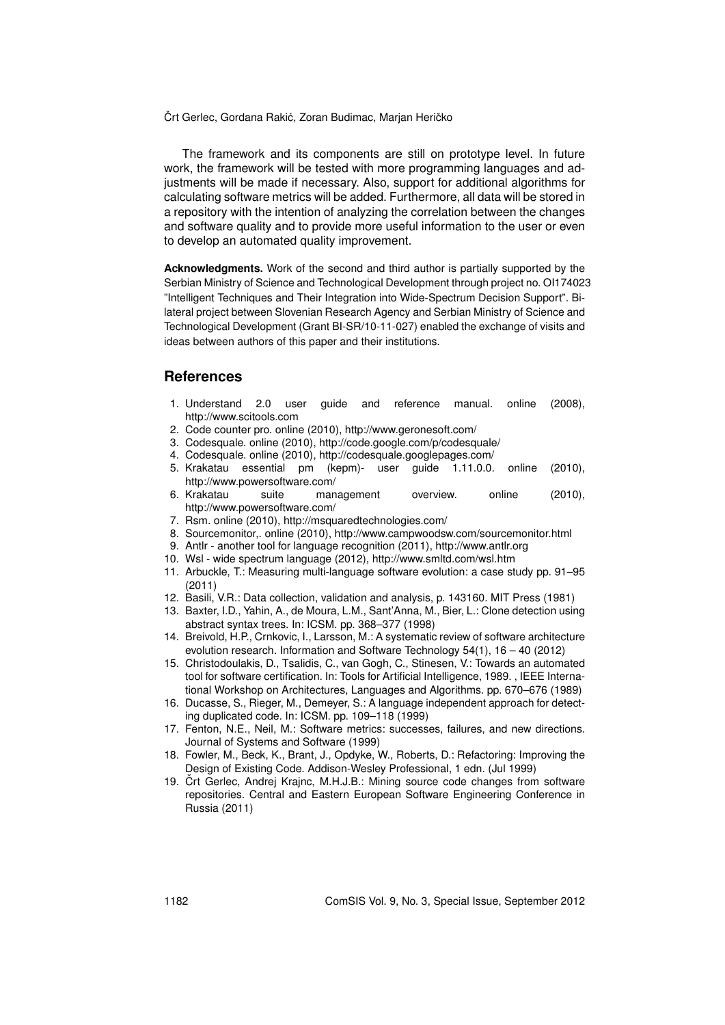The framework and its components are still on prototype level. In future work, the framework will be tested with more programming languages and adjustments will be made if necessary. Also, support for additional algorithms for calculating software metrics will be added. Furthermore, all data will be stored in a repository with the intention of analyzing the correlation between the changes and software quality and to provide more useful information to the user or even to develop an automated quality improvement.

**Acknowledgments.** Work of the second and third author is partially supported by the Serbian Ministry of Science and Technological Development through project no. OI174023 "Intelligent Techniques and Their Integration into Wide-Spectrum Decision Support". Bilateral project between Slovenian Research Agency and Serbian Ministry of Science and Technological Development (Grant BI-SR/10-11-027) enabled the exchange of visits and ideas between authors of this paper and their institutions.

#### **References**

- 1. Understand 2.0 user guide and reference manual. online (2008), http://www.scitools.com
- 2. Code counter pro. online (2010), http://www.geronesoft.com/
- 3. Codesquale. online (2010), http://code.google.com/p/codesquale/
- 4. Codesquale. online (2010), http://codesquale.googlepages.com/
- 5. Krakatau essential pm (kepm)- user guide 1.11.0.0. online (2010), http://www.powersoftware.com/
- 6. Krakatau suite management overview. online (2010), http://www.powersoftware.com/
- 7. Rsm. online (2010), http://msquaredtechnologies.com/
- 8. Sourcemonitor,. online (2010), http://www.campwoodsw.com/sourcemonitor.html
- 9. Antlr another tool for language recognition (2011), http://www.antlr.org
- 10. Wsl wide spectrum language (2012), http://www.smltd.com/wsl.htm
- 11. Arbuckle, T.: Measuring multi-language software evolution: a case study pp. 91–95 (2011)
- 12. Basili, V.R.: Data collection, validation and analysis, p. 143160. MIT Press (1981)
- 13. Baxter, I.D., Yahin, A., de Moura, L.M., Sant'Anna, M., Bier, L.: Clone detection using abstract syntax trees. In: ICSM. pp. 368–377 (1998)
- 14. Breivold, H.P., Crnkovic, I., Larsson, M.: A systematic review of software architecture evolution research. Information and Software Technology 54(1), 16 – 40 (2012)
- 15. Christodoulakis, D., Tsalidis, C., van Gogh, C., Stinesen, V.: Towards an automated tool for software certification. In: Tools for Artificial Intelligence, 1989. , IEEE International Workshop on Architectures, Languages and Algorithms. pp. 670–676 (1989)
- 16. Ducasse, S., Rieger, M., Demeyer, S.: A language independent approach for detecting duplicated code. In: ICSM. pp. 109–118 (1999)
- 17. Fenton, N.E., Neil, M.: Software metrics: successes, failures, and new directions. Journal of Systems and Software (1999)
- 18. Fowler, M., Beck, K., Brant, J., Opdyke, W., Roberts, D.: Refactoring: Improving the Design of Existing Code. Addison-Wesley Professional, 1 edn. (Jul 1999)
- 19. Črt Gerlec, Andrej Krajnc, M.H.J.B.: Mining source code changes from software repositories. Central and Eastern European Software Engineering Conference in Russia (2011)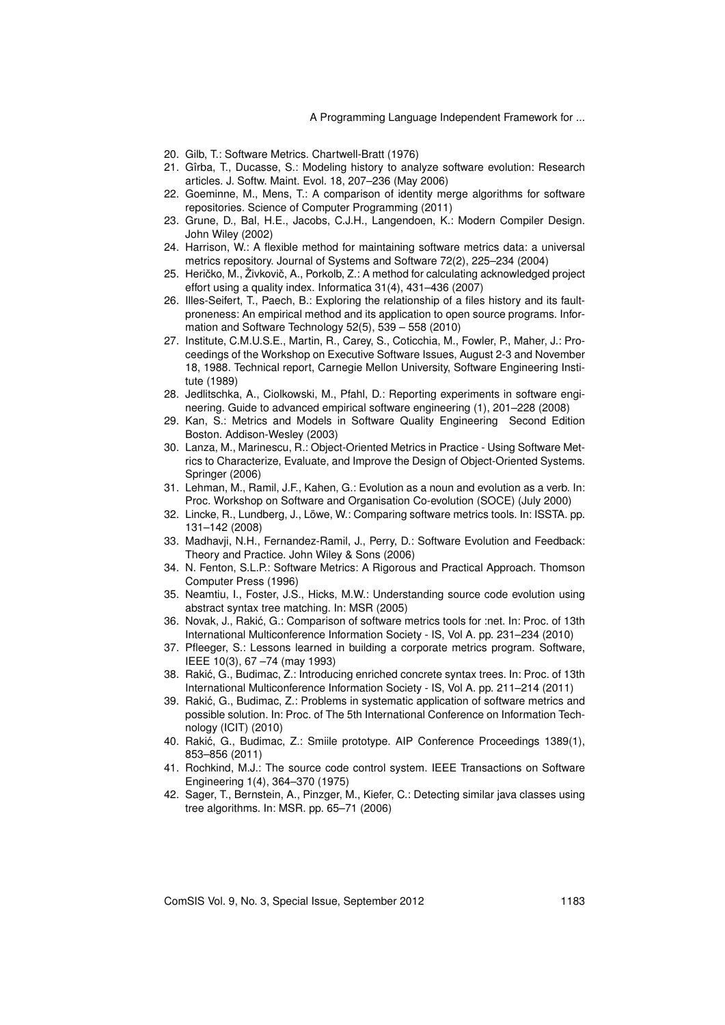- 20. Gilb, T.: Software Metrics. Chartwell-Bratt (1976)
- 21. Gîrba, T., Ducasse, S.: Modeling history to analyze software evolution: Research articles. J. Softw. Maint. Evol. 18, 207–236 (May 2006)
- 22. Goeminne, M., Mens, T.: A comparison of identity merge algorithms for software repositories. Science of Computer Programming (2011)
- 23. Grune, D., Bal, H.E., Jacobs, C.J.H., Langendoen, K.: Modern Compiler Design. John Wiley (2002)
- 24. Harrison, W.: A flexible method for maintaining software metrics data: a universal metrics repository. Journal of Systems and Software 72(2), 225–234 (2004)
- 25. Heričko, M., Živkovič, A., Porkolb, Z.: A method for calculating acknowledged project effort using a quality index. Informatica 31(4), 431–436 (2007)
- 26. Illes-Seifert, T., Paech, B.: Exploring the relationship of a files history and its faultproneness: An empirical method and its application to open source programs. Information and Software Technology 52(5), 539 – 558 (2010)
- 27. Institute, C.M.U.S.E., Martin, R., Carey, S., Coticchia, M., Fowler, P., Maher, J.: Proceedings of the Workshop on Executive Software Issues, August 2-3 and November 18, 1988. Technical report, Carnegie Mellon University, Software Engineering Institute (1989)
- 28. Jedlitschka, A., Ciolkowski, M., Pfahl, D.: Reporting experiments in software engineering. Guide to advanced empirical software engineering (1), 201–228 (2008)
- 29. Kan, S.: Metrics and Models in Software Quality Engineering Second Edition Boston. Addison-Wesley (2003)
- 30. Lanza, M., Marinescu, R.: Object-Oriented Metrics in Practice Using Software Metrics to Characterize, Evaluate, and Improve the Design of Object-Oriented Systems. Springer (2006)
- 31. Lehman, M., Ramil, J.F., Kahen, G.: Evolution as a noun and evolution as a verb. In: Proc. Workshop on Software and Organisation Co-evolution (SOCE) (July 2000)
- 32. Lincke, R., Lundberg, J., Löwe, W.: Comparing software metrics tools. In: ISSTA. pp. 131–142 (2008)
- 33. Madhavji, N.H., Fernandez-Ramil, J., Perry, D.: Software Evolution and Feedback: Theory and Practice. John Wiley & Sons (2006)
- 34. N. Fenton, S.L.P.: Software Metrics: A Rigorous and Practical Approach. Thomson Computer Press (1996)
- 35. Neamtiu, I., Foster, J.S., Hicks, M.W.: Understanding source code evolution using abstract syntax tree matching. In: MSR (2005)
- 36. Novak, J., Rakic, G.: Comparison of software metrics tools for :net. In: Proc. of 13th ´ International Multiconference Information Society - IS, Vol A. pp. 231–234 (2010)
- 37. Pfleeger, S.: Lessons learned in building a corporate metrics program. Software, IEEE 10(3), 67 –74 (may 1993)
- 38. Rakic, G., Budimac, Z.: Introducing enriched concrete syntax trees. In: Proc. of 13th ´ International Multiconference Information Society - IS, Vol A. pp. 211–214 (2011)
- 39. Rakic, G., Budimac, Z.: Problems in systematic application of software metrics and ´ possible solution. In: Proc. of The 5th International Conference on Information Technology (ICIT) (2010)
- 40. Rakic, G., Budimac, Z.: Smiile prototype. AIP Conference Proceedings 1389(1), ´ 853–856 (2011)
- 41. Rochkind, M.J.: The source code control system. IEEE Transactions on Software Engineering 1(4), 364–370 (1975)
- 42. Sager, T., Bernstein, A., Pinzger, M., Kiefer, C.: Detecting similar java classes using tree algorithms. In: MSR. pp. 65–71 (2006)

ComSIS Vol. 9, No. 3, Special Issue, September 2012 1183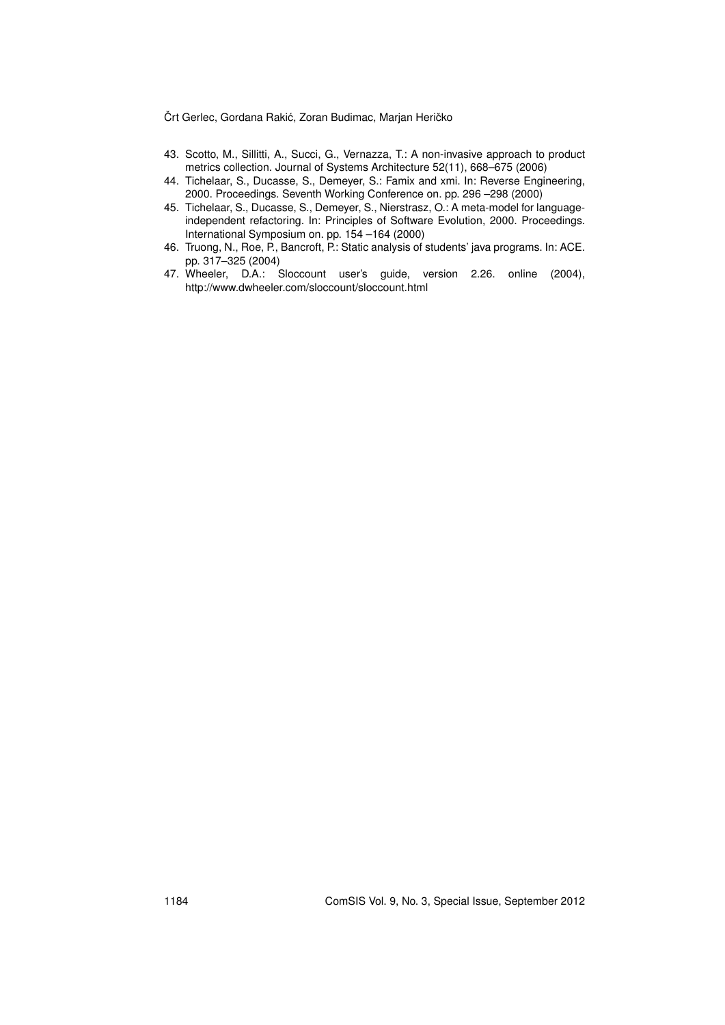- 43. Scotto, M., Sillitti, A., Succi, G., Vernazza, T.: A non-invasive approach to product metrics collection. Journal of Systems Architecture 52(11), 668–675 (2006)
- 44. Tichelaar, S., Ducasse, S., Demeyer, S.: Famix and xmi. In: Reverse Engineering, 2000. Proceedings. Seventh Working Conference on. pp. 296 –298 (2000)
- 45. Tichelaar, S., Ducasse, S., Demeyer, S., Nierstrasz, O.: A meta-model for languageindependent refactoring. In: Principles of Software Evolution, 2000. Proceedings. International Symposium on. pp. 154 –164 (2000)
- 46. Truong, N., Roe, P., Bancroft, P.: Static analysis of students' java programs. In: ACE. pp. 317–325 (2004)
- 47. Wheeler, D.A.: Sloccount user's guide, version 2.26. online (2004), http://www.dwheeler.com/sloccount/sloccount.html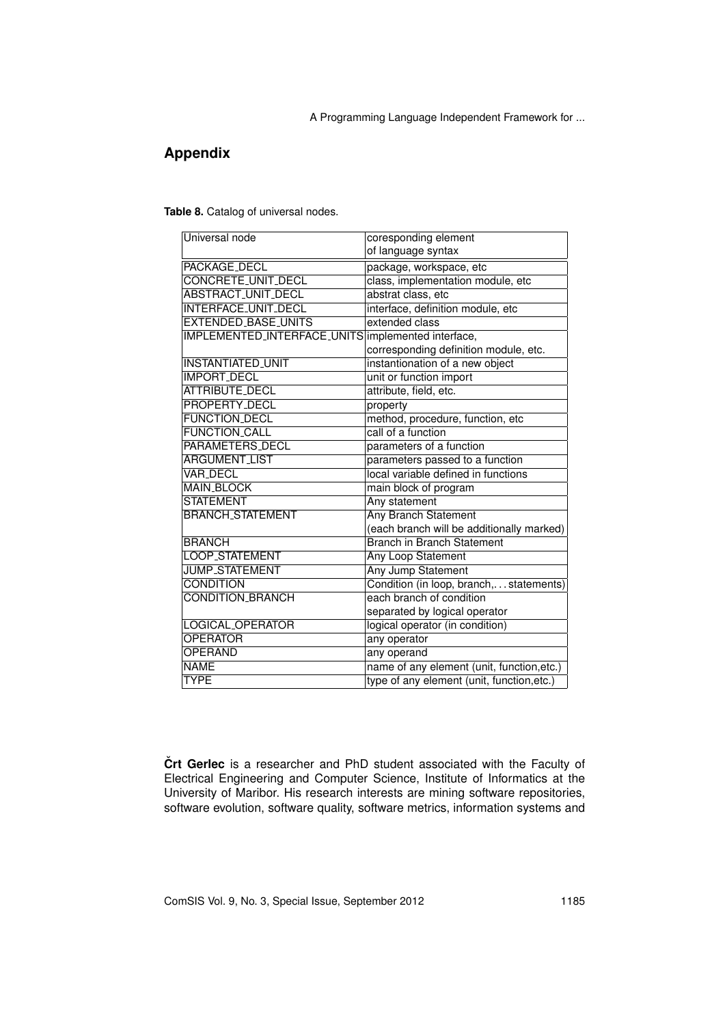## **Appendix**

**Table 8.** Catalog of universal nodes.

| coresponding element                               |
|----------------------------------------------------|
| of language syntax                                 |
| package, workspace, etc                            |
| class, implementation module, etc                  |
| abstrat class, etc                                 |
| interface, definition module, etc                  |
| extended class                                     |
| IMPLEMENTED_INTERFACE_UNITS implemented interface, |
| corresponding definition module, etc.              |
| instantionation of a new object                    |
| unit or function import                            |
| attribute, field, etc.                             |
| property                                           |
| method, procedure, function, etc                   |
| call of a function                                 |
| parameters of a function                           |
| parameters passed to a function                    |
| local variable defined in functions                |
| main block of program                              |
| Any statement                                      |
| <b>Any Branch Statement</b>                        |
| (each branch will be additionally marked)          |
| <b>Branch in Branch Statement</b>                  |
| Any Loop Statement                                 |
| <b>Any Jump Statement</b>                          |
| Condition (in loop, branch,statements)             |
| each branch of condition                           |
| separated by logical operator                      |
| logical operator (in condition)                    |
| any operator                                       |
| any operand                                        |
| name of any element (unit, function, etc.)         |
| type of any element (unit, function, etc.)         |
|                                                    |

**Črt Gerlec** is a researcher and PhD student associated with the Faculty of Electrical Engineering and Computer Science, Institute of Informatics at the University of Maribor. His research interests are mining software repositories, software evolution, software quality, software metrics, information systems and

ComSIS Vol. 9, No. 3, Special Issue, September 2012 1185